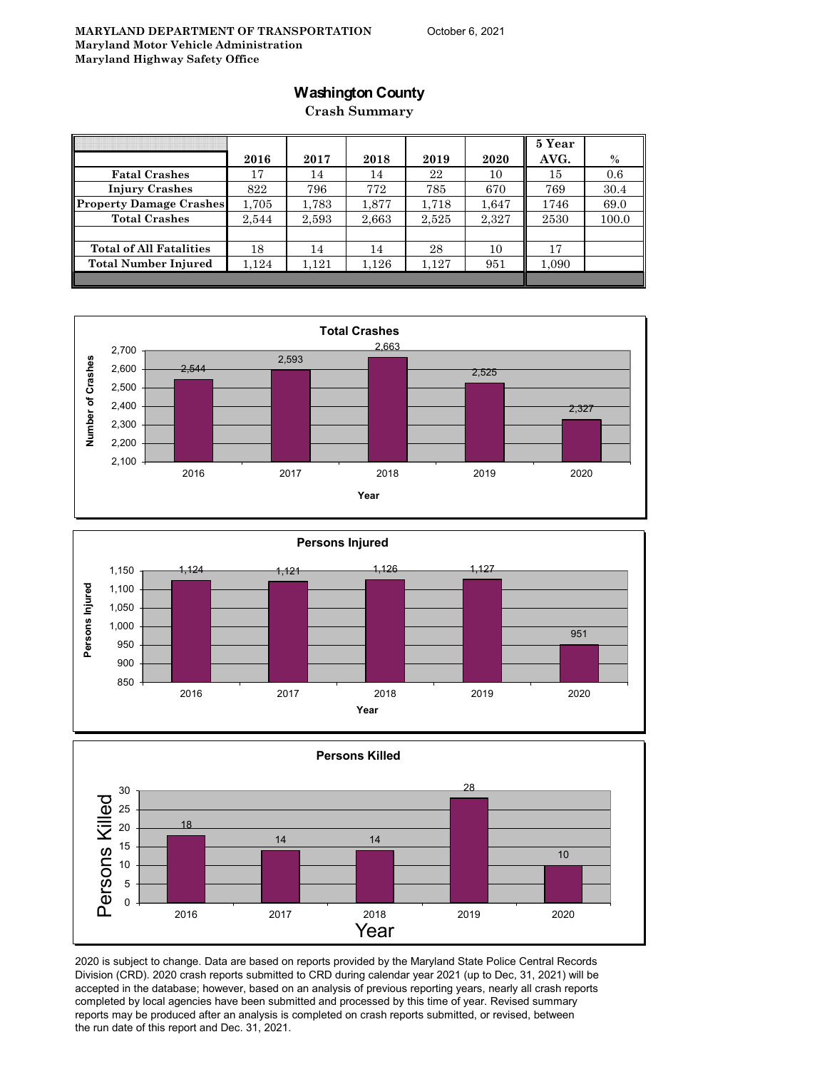## **Washington County**

**Crash Summary**

|                                |       |       |       |       |       | 5 Year |       |
|--------------------------------|-------|-------|-------|-------|-------|--------|-------|
|                                | 2016  | 2017  | 2018  | 2019  | 2020  | AVG.   | $\%$  |
| <b>Fatal Crashes</b>           | 17    | 14    | 14    | 22    | 10    | 15     | 0.6   |
| <b>Injury Crashes</b>          | 822   | 796   | 772   | 785   | 670   | 769    | 30.4  |
| <b>Property Damage Crashes</b> | 1,705 | 1,783 | 1,877 | 1,718 | 1.647 | 1746   | 69.0  |
| <b>Total Crashes</b>           | 2,544 | 2,593 | 2,663 | 2,525 | 2,327 | 2530   | 100.0 |
|                                |       |       |       |       |       |        |       |
| <b>Total of All Fatalities</b> | 18    | 14    | 14    | 28    | 10    | 17     |       |
| <b>Total Number Injured</b>    | 1,124 | 1,121 | 1,126 | 1,127 | 951   | 1,090  |       |
|                                |       |       |       |       |       |        |       |







2020 is subject to change. Data are based on reports provided by the Maryland State Police Central Records Division (CRD). 2020 crash reports submitted to CRD during calendar year 2021 (up to Dec, 31, 2021) will be accepted in the database; however, based on an analysis of previous reporting years, nearly all crash reports completed by local agencies have been submitted and processed by this time of year. Revised summary reports may be produced after an analysis is completed on crash reports submitted, or revised, between the run date of this report and Dec. 31, 2021.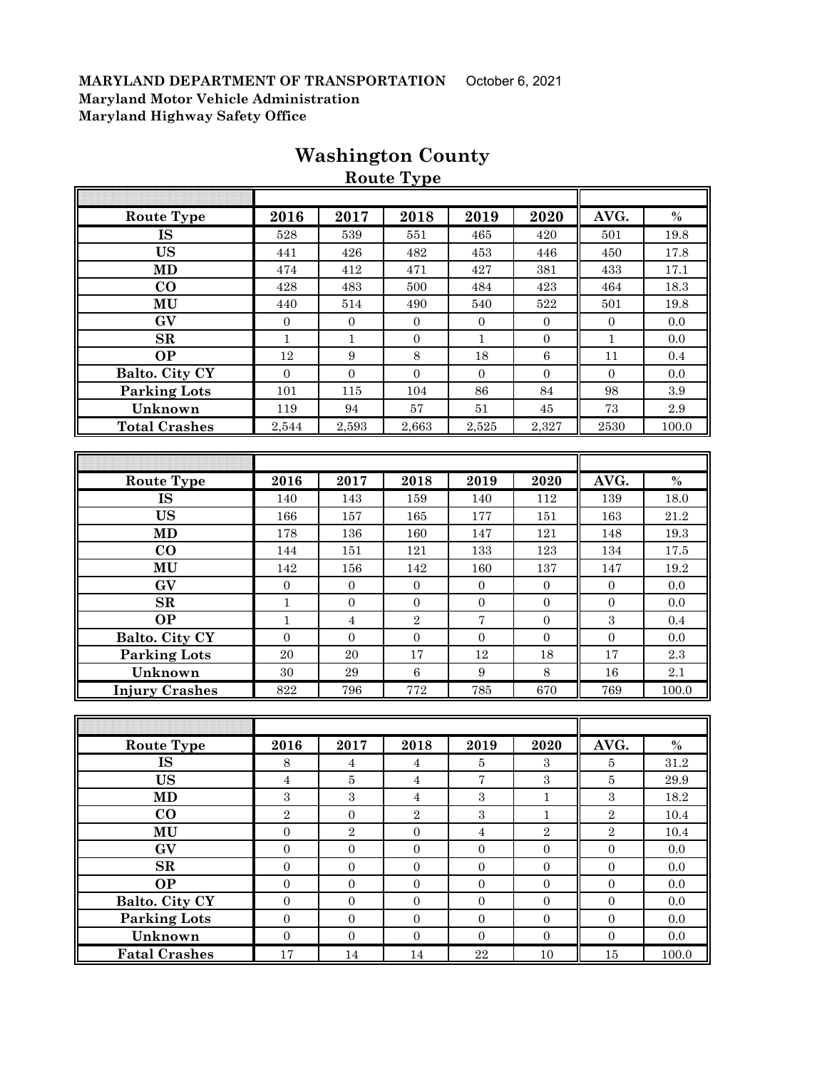| <b>Route Type</b>     | 2016             | 2017           | 2018             | 2019             | 2020             | AVG.             | $\%$  |
|-----------------------|------------------|----------------|------------------|------------------|------------------|------------------|-------|
| <b>IS</b>             | 528              | 539            | 551              | 465              | 420              | 501              | 19.8  |
| <b>US</b>             | 441              | 426            | 482              | 453              | 446              | 450              | 17.8  |
| <b>MD</b>             | 474              | 412            | 471              | 427              | 381              | 433              | 17.1  |
| CO                    | 428              | 483            | 500              | 484              | 423              | 464              | 18.3  |
| MU                    | 440              | 514            | 490              | 540              | 522              | 501              | 19.8  |
| GV                    | $\boldsymbol{0}$ | $\mathbf{0}$   | $\boldsymbol{0}$ | $\mathbf{0}$     | $\boldsymbol{0}$ | $\boldsymbol{0}$ | 0.0   |
| SR                    | $\mathbf{1}$     | 1              | $\boldsymbol{0}$ | $\mathbf{1}$     | $\boldsymbol{0}$ | $\mathbf{1}$     | 0.0   |
| $\overline{OP}$       | 12               | 9              | 8                | 18               | $6\phantom{1}6$  | 11               | 0.4   |
| Balto. City CY        | $\Omega$         | $\Omega$       | $\Omega$         | $\Omega$         | $\Omega$         | $\Omega$         | 0.0   |
| <b>Parking Lots</b>   | 101              | 115            | 104              | 86               | 84               | 98               | 3.9   |
| Unknown               | 119              | 94             | 57               | 51               | 45               | 73               | 2.9   |
| <b>Total Crashes</b>  | 2,544            | 2,593          | 2,663            | 2,525            | 2,327            | $2530\,$         | 100.0 |
|                       |                  |                |                  |                  |                  |                  |       |
|                       |                  |                |                  |                  |                  |                  |       |
| <b>Route Type</b>     | 2016             | 2017           | 2018             | 2019             | 2020             | AVG.             | $\%$  |
| <b>IS</b>             | 140              | 143            | 159              | 140              | 112              | 139              | 18.0  |
| <b>US</b>             | 166              | 157            | 165              | 177              | 151              | 163              | 21.2  |
| <b>MD</b>             | 178              | 136            | 160              | 147              | 121              | 148              | 19.3  |
| $\bf CO$              | 144              | 151            | 121              | 133              | 123              | 134              | 17.5  |
| MU                    | 142              | 156            | 142              | 160              | 137              | 147              | 19.2  |
| GV                    | $\overline{0}$   | $\overline{0}$ | $\overline{0}$   | $\theta$         | $\mathbf{0}$     | $\overline{0}$   | 0.0   |
| SR                    | $\mathbf{1}$     | $\Omega$       | $\Omega$         | $\Omega$         | $\Omega$         | $\Omega$         | 0.0   |
| <b>OP</b>             | $\mathbf{1}$     | $\overline{4}$ | $\overline{2}$   | 7                | $\overline{0}$   | $\overline{3}$   | 0.4   |
| <b>Balto. City CY</b> | $\Omega$         | $\Omega$       | $\Omega$         | $\Omega$         | $\Omega$         | $\overline{0}$   | 0.0   |
| <b>Parking Lots</b>   | 20               | 20             | 17               | 12               | 18               | 17               | 2.3   |
| Unknown               | 30               | 29             | $\overline{6}$   | $\boldsymbol{9}$ | 8                | 16               | 2.1   |
| <b>Injury Crashes</b> | 822              | 796            | 772              | 785              | 670              | 769              | 100.0 |

## **Washington County**

**Route Type**

| <b>Route Type</b>    | 2016           | 2017           | 2018           | 2019     | 2020           | AVG.           | $\%$  |
|----------------------|----------------|----------------|----------------|----------|----------------|----------------|-------|
| IS                   | 8              | 4              | 4              | 5        | 3              | 5              | 31.2  |
| <b>US</b>            | 4              | 5              | 4              | 7        | 3              | 5              | 29.9  |
| <b>MD</b>            | 3              | 3              | 4              | 3        |                | 3              | 18.2  |
| $\bf{CO}$            | $\overline{2}$ | $\Omega$       | $\overline{2}$ | 3        |                | $\overline{2}$ | 10.4  |
| MU                   | $\Omega$       | $\overline{2}$ | $\overline{0}$ | 4        | $\overline{2}$ | $\overline{2}$ | 10.4  |
| GV                   | $\Omega$       | $\Omega$       | $\Omega$       | $\Omega$ | $\Omega$       | $\Omega$       | 0.0   |
| SR                   | $\Omega$       | $\Omega$       | $\Omega$       | $\Omega$ | $\Omega$       | $\Omega$       | 0.0   |
| <b>OP</b>            | $\Omega$       | $\Omega$       | $\Omega$       | $\Omega$ | $\Omega$       | $\Omega$       | 0.0   |
| Balto. City CY       | $\Omega$       | $\Omega$       | $\Omega$       | $\Omega$ | $\Omega$       | $\Omega$       | 0.0   |
| <b>Parking Lots</b>  | $\Omega$       | $\Omega$       | $\overline{0}$ | $\Omega$ | $\Omega$       | $\Omega$       | 0.0   |
| Unknown              | $\Omega$       | $\Omega$       | $\Omega$       | $\Omega$ | $\Omega$       | $\Omega$       | 0.0   |
| <b>Fatal Crashes</b> | 17             | 14             | 14             | 22       | 10             | 15             | 100.0 |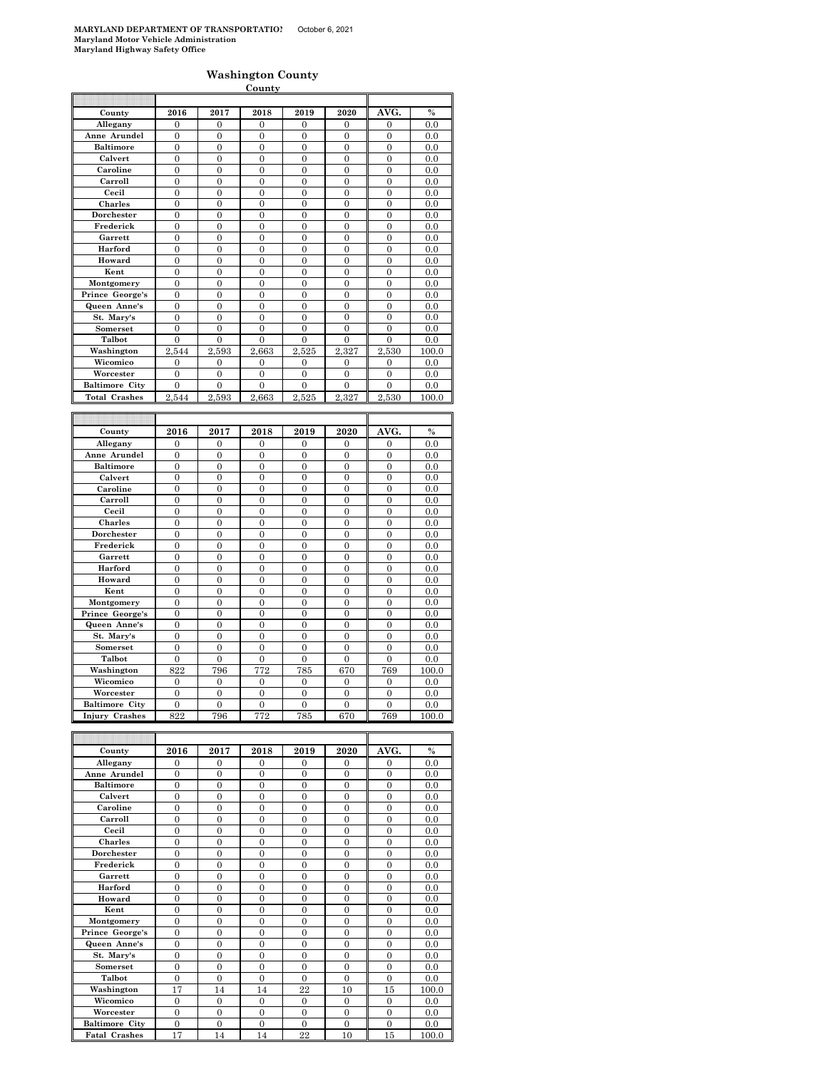#### **Washington County**

|                              |                                  |                                  | C <u>ounty</u>                     |                                  |                                  |                                  |             |
|------------------------------|----------------------------------|----------------------------------|------------------------------------|----------------------------------|----------------------------------|----------------------------------|-------------|
|                              |                                  |                                  |                                    |                                  |                                  |                                  |             |
| County                       | 2016                             | 2017                             | 2018                               | 2019                             | 2020                             | AVG.                             | $\%$        |
| Allegany                     | $\overline{0}$                   | $\overline{0}$                   | $\mathbf{0}$                       | $\bf{0}$                         | 0                                | $\mathbf{0}$                     | 0.0         |
| Anne Arundel                 | $\overline{0}$                   | $\overline{0}$                   | $\overline{0}$                     | $\overline{0}$                   | $\overline{0}$                   | $\overline{0}$                   | 0.0         |
| <b>Baltimore</b>             | $\overline{0}$                   | $\overline{0}$                   | $\overline{0}$                     | $\overline{0}$                   | $\overline{0}$                   | $\overline{0}$                   | 0.0         |
| Calvert                      | $\mathbf{0}$                     | $\mathbf{0}$                     | $\mathbf{0}$                       | $\mathbf{0}$                     | $\mathbf{0}$                     | $\boldsymbol{0}$                 | 0.0         |
| Caroline                     | $\overline{0}$                   | $\overline{0}$                   | $\overline{0}$                     | $\overline{0}$                   | $\overline{0}$                   | $\mathbf{0}$                     | 0.0         |
| Carroll                      | $\overline{0}$                   | $\overline{0}$                   | $\overline{0}$                     | $\overline{0}$                   | $\overline{0}$                   | $\overline{0}$                   | 0.0         |
| Cecil                        | $\mathbf{0}$                     | $\mathbf{0}$                     | $\mathbf{0}$                       | $\mathbf{0}$                     | $\mathbf{0}$                     | $\boldsymbol{0}$                 | 0.0         |
| Charles                      | $\overline{0}$                   | $\overline{0}$                   | $\overline{0}$                     | $\overline{0}$                   | $\overline{0}$                   | $\overline{0}$                   | 0.0         |
| Dorchester                   | $\Omega$                         | $\overline{0}$                   | $\theta$                           | $\theta$                         | 0                                | $\overline{0}$                   | 0.0         |
| Frederick                    | $\overline{0}$                   | $\overline{0}$                   | $\overline{0}$                     | $\overline{0}$                   | $\overline{0}$                   | $\mathbf{0}$                     | 0.0         |
| Garrett                      | $\overline{0}$                   | $\overline{0}$                   | $\overline{0}$                     | $\overline{0}$                   | $\overline{0}$                   | $\overline{0}$                   | 0.0         |
| Harford                      | $\overline{0}$                   | $\overline{0}$                   | $\mathbf{0}$                       | 0                                | 0                                | $\mathbf{0}$                     | $_{0.0}$    |
| Howard                       | $\overline{0}$                   | $\overline{0}$                   | $\overline{0}$                     | $\overline{0}$                   | $\overline{0}$                   | $\overline{0}$                   | 0.0         |
| Kent                         | $\mathbf{0}$                     | $\overline{0}$                   | $\overline{0}$                     | $\overline{0}$                   | $\overline{0}$                   | $\boldsymbol{0}$                 | 0.0         |
| Montgomery                   | $\overline{0}$                   | $\overline{0}$                   | $\overline{0}$                     | 0                                | 0                                | $\overline{0}$                   | 0.0         |
| Prince George's              | $\overline{0}$                   | $\overline{0}$                   | $\overline{0}$                     | $\overline{0}$                   | $\overline{0}$                   | $\overline{0}$                   | 0.0         |
| Queen Anne's                 | $\overline{0}$                   | $\overline{0}$                   | $\overline{0}$                     | $\overline{0}$                   | $\overline{0}$                   | $\overline{0}$                   | 0.0         |
| St. Mary's                   | $\overline{0}$                   | $\overline{0}$                   | $\overline{0}$                     | $\overline{0}$                   | $\overline{0}$                   | $\overline{0}$                   | 0.0         |
| Somerset                     | $\overline{0}$                   | $\overline{0}$                   | $\boldsymbol{0}$                   | $\overline{0}$                   | $\overline{0}$                   | $\mathbf{0}$                     | 0.0         |
| Talbot                       | $\mathbf{0}$                     | $\overline{0}$                   | $\overline{0}$                     | 0                                | $\overline{0}$                   | $\overline{0}$                   | 0.0         |
| Washington                   | 2,544                            | 2,593                            | 2,663                              | 2,525                            | 2,327                            | 2,530                            | 100.0       |
| Wicomico                     | $\mathbf{0}$                     | $\boldsymbol{0}$                 | $\boldsymbol{0}$                   | $\mathbf{0}$                     | $\mathbf{0}$                     | $\boldsymbol{0}$                 | 0.0         |
| Worcester                    | $\overline{0}$                   | $\overline{0}$                   | $\overline{0}$                     | $\overline{0}$                   | $\overline{0}$                   | $\overline{0}$                   | 0.0         |
| <b>Baltimore City</b>        | $\theta$                         | $\theta$                         | $\Omega$                           | $\theta$                         | $\theta$                         | $\theta$                         | 0.0         |
| <b>Total Crashes</b>         | 2,544                            | 2,593                            | 2,663                              | 2,525                            | 2,327                            | 2,530                            | 100.0       |
|                              |                                  |                                  |                                    |                                  |                                  |                                  |             |
|                              |                                  |                                  |                                    |                                  |                                  |                                  |             |
|                              |                                  |                                  |                                    |                                  |                                  |                                  |             |
|                              |                                  |                                  |                                    |                                  |                                  |                                  |             |
| County                       | 2016<br>$\overline{0}$           | 2017<br>$\overline{0}$           | 2018<br>$\Omega$                   | 2019<br>$\overline{0}$           | 2020<br>$\theta$                 | AVG.<br>$\overline{0}$           | $\%$<br>0.0 |
| Allegany                     |                                  |                                  |                                    |                                  |                                  |                                  |             |
| Anne Arundel                 | $\mathbf{0}$                     | $\mathbf{0}$                     | $\mathbf{0}$                       | $\mathbf{0}$                     | $\mathbf{0}$                     | $\boldsymbol{0}$                 | 0.0         |
| <b>Baltimore</b>             | $\overline{0}$                   | $\overline{0}$                   | $\overline{0}$                     | $\overline{0}$                   | $\overline{0}$                   | $\mathbf{0}$                     | 0.0         |
| Calvert                      | $\overline{0}$                   | $\overline{0}$                   | $\overline{0}$                     | $\overline{0}$                   | $\overline{0}$                   | $\overline{0}$                   | 0.0         |
| Caroline                     | $\overline{0}$                   | $\mathbf{0}$                     | $\overline{0}$                     | $\overline{0}$                   | $\mathbf{0}$                     | $\overline{0}$                   | 0.0         |
| Carroll                      | $\overline{0}$                   | $\overline{0}$                   | $\mathbf{0}$                       | $\overline{0}$                   | $\mathbf{0}$                     | $\boldsymbol{0}$                 | 0.0         |
| Cecil                        | $\overline{0}$                   | $\overline{0}$                   | $\overline{0}$                     | $\overline{0}$                   | $\overline{0}$                   | $\overline{0}$                   | 0.0         |
| <b>Charles</b><br>Dorchester | $\overline{0}$<br>$\overline{0}$ | $\overline{0}$<br>$\overline{0}$ | $\overline{0}$<br>$\overline{0}$   | $\overline{0}$<br>$\overline{0}$ | 0<br>$\overline{0}$              | $\overline{0}$<br>$\overline{0}$ | 0.0<br>0.0  |
| Frederick                    | $\overline{0}$                   | $\overline{0}$                   | $\overline{0}$                     | $\overline{0}$                   | $\overline{0}$                   | $\overline{0}$                   | 0.0         |
|                              |                                  |                                  |                                    |                                  |                                  |                                  |             |
| Garrett<br>Harford           | $\mathbf{0}$                     | $\mathbf{0}$                     | $\boldsymbol{0}$                   | $\mathbf{0}$                     | $\mathbf{0}$                     | $\boldsymbol{0}$                 | 0.0         |
|                              | $\overline{0}$                   | $\overline{0}$                   | $\overline{0}$                     | $\overline{0}$                   | $\overline{0}$                   | $\overline{0}$                   | 0.0         |
| Howard                       | $\overline{0}$                   | $\overline{0}$                   | $\overline{0}$                     | $\overline{0}$                   | $\overline{0}$                   | $\overline{0}$                   | 0.0         |
| Kent                         | $\mathbf{0}$                     | $\mathbf{0}$                     | $\boldsymbol{0}$                   | $\mathbf{0}$                     | $\mathbf{0}$                     | $\boldsymbol{0}$                 | 0.0         |
| Montgomery                   | $\overline{0}$<br>$\theta$       | $\overline{0}$<br>$\overline{0}$ | $\overline{0}$<br>$\theta$         | $\overline{0}$<br>$\overline{0}$ | $\overline{0}$<br>$\overline{0}$ | $\overline{0}$<br>$\theta$       | 0.0<br>0.0  |
| Prince George's              |                                  |                                  |                                    |                                  |                                  |                                  |             |
| Queen Anne's<br>St. Mary's   | $\overline{0}$<br>$\overline{0}$ | $\overline{0}$<br>$\mathbf{0}$   | $\boldsymbol{0}$<br>$\overline{0}$ | $\mathbf{0}$<br>$\overline{0}$   | $\mathbf{0}$<br>$\mathbf{0}$     | $\mathbf{0}$<br>$\mathbf{0}$     | 0.0<br>0.0  |
|                              | $\overline{0}$                   | $\overline{0}$                   | $\overline{0}$                     | $\overline{0}$                   | $\overline{0}$                   | $\overline{0}$                   | 0.0         |
| Somerset<br>Talbot           | $\overline{0}$                   | $\overline{0}$                   | $\overline{0}$                     | $\overline{0}$                   | $\mathbf{0}$                     | $\overline{0}$                   | 0.0         |
| Washington                   | 822                              | 796                              | 772                                | 785                              | 670                              | 769                              | 100.0       |
|                              | $\overline{0}$                   | $\overline{0}$                   | $\overline{0}$                     | $\overline{0}$                   | $\overline{0}$                   | $\overline{0}$                   | 0.0         |
| Wicomico<br>Worcester        | $\overline{0}$                   | $\boldsymbol{0}$                 | $\boldsymbol{0}$                   | $\mathbf{0}$                     | $\overline{0}$                   | 0                                | 0.0         |
| <b>Baltimore City</b>        | $\mathbf{0}$                     | $\overline{0}$                   | $\boldsymbol{0}$                   | $\mathbf{0}$                     | $\mathbf{0}$                     | $\mathbf{0}$                     | 0.0         |
| <b>Injury Crashes</b>        | 822                              | 796                              | 772                                | 785                              | 670                              | 769                              | 100.0       |

| County                | 2016           | 2017     | 2018     | 2019     | 2020           | AVG.           | $\frac{0}{2}$ |
|-----------------------|----------------|----------|----------|----------|----------------|----------------|---------------|
| Allegany              | $\Omega$       | $\Omega$ | $\theta$ | $\Omega$ | $\Omega$       | $\Omega$       | 0.0           |
| Anne Arundel          | $\theta$       | $\Omega$ | $\theta$ | $\Omega$ | $\Omega$       | $\Omega$       | 0.0           |
| <b>Baltimore</b>      | $\theta$       | $\theta$ | $\theta$ | $\theta$ | $\theta$       | $\theta$       | 0.0           |
| Calvert               | $\theta$       | $\theta$ | $\theta$ | $\theta$ | $\theta$       | $\theta$       | 0.0           |
| Caroline              | $\overline{0}$ | $\theta$ | $\theta$ | $\theta$ | $\theta$       | $\theta$       | 0.0           |
| Carroll               | $\theta$       | $\theta$ | $\theta$ | $\theta$ | $\Omega$       | $\Omega$       | 0.0           |
| Cecil                 | $\overline{0}$ | $\theta$ | $\theta$ | $\Omega$ | $\Omega$       | $\overline{0}$ | 0.0           |
| <b>Charles</b>        | $\theta$       | $\theta$ | $\theta$ | $\theta$ | $\theta$       | $\theta$       | 0.0           |
| Dorchester            | $\overline{0}$ | $\theta$ | $\theta$ | $\theta$ | $\overline{0}$ | $\Omega$       | 0.0           |
| Frederick             | $\theta$       | $\Omega$ | $\Omega$ | $\Omega$ | $\Omega$       | $\Omega$       | 0.0           |
| Garrett               | $\theta$       | $\theta$ | $\theta$ | $\Omega$ | $\Omega$       | $\Omega$       | 0.0           |
| Harford               | $\overline{0}$ | $\theta$ | $\theta$ | $\theta$ | $\theta$       | $\Omega$       | 0.0           |
| Howard                | $\overline{0}$ | $\theta$ | $\theta$ | $\theta$ | $\Omega$       | $\Omega$       | 0.0           |
| Kent                  | $\theta$       | $\Omega$ | $\theta$ | $\theta$ | $\Omega$       | $\Omega$       | 0.0           |
| Montgomery            | $\overline{0}$ | $\theta$ | $\theta$ | $\Omega$ | $\Omega$       | $\Omega$       | 0.0           |
| Prince George's       | $\theta$       | $\theta$ | $\theta$ | $\theta$ | $\theta$       | $\theta$       | 0.0           |
| Queen Anne's          | $\theta$       | $\theta$ | $\theta$ | $\Omega$ | $\theta$       | $\Omega$       | 0.0           |
| St. Mary's            | $\theta$       | $\Omega$ | $\Omega$ | $\Omega$ | $\Omega$       | $\Omega$       | 0.0           |
| Somerset              | $\theta$       | $\theta$ | $\theta$ | $\theta$ | $\theta$       | $\theta$       | 0.0           |
| Talbot                | $\theta$       | $\theta$ | $\theta$ | $\theta$ | $\theta$       | $\Omega$       | 0.0           |
| Washington            | 17             | 14       | 14       | 22       | 10             | 15             | 100.0         |
| Wicomico              | $\overline{0}$ | $\Omega$ | $\Omega$ | $\theta$ | $\Omega$       | $\Omega$       | 0.0           |
| Worcester             | $\overline{0}$ | $\theta$ | $\theta$ | $\theta$ | $\Omega$       | $\overline{0}$ | 0.0           |
| <b>Baltimore City</b> | $\overline{0}$ | $\theta$ | $\theta$ | $\theta$ | $\theta$       | $\theta$       | 0.0           |
| <b>Fatal Crashes</b>  | 17             | 14       | 14       | 22       | 10             | 15             | 100.0         |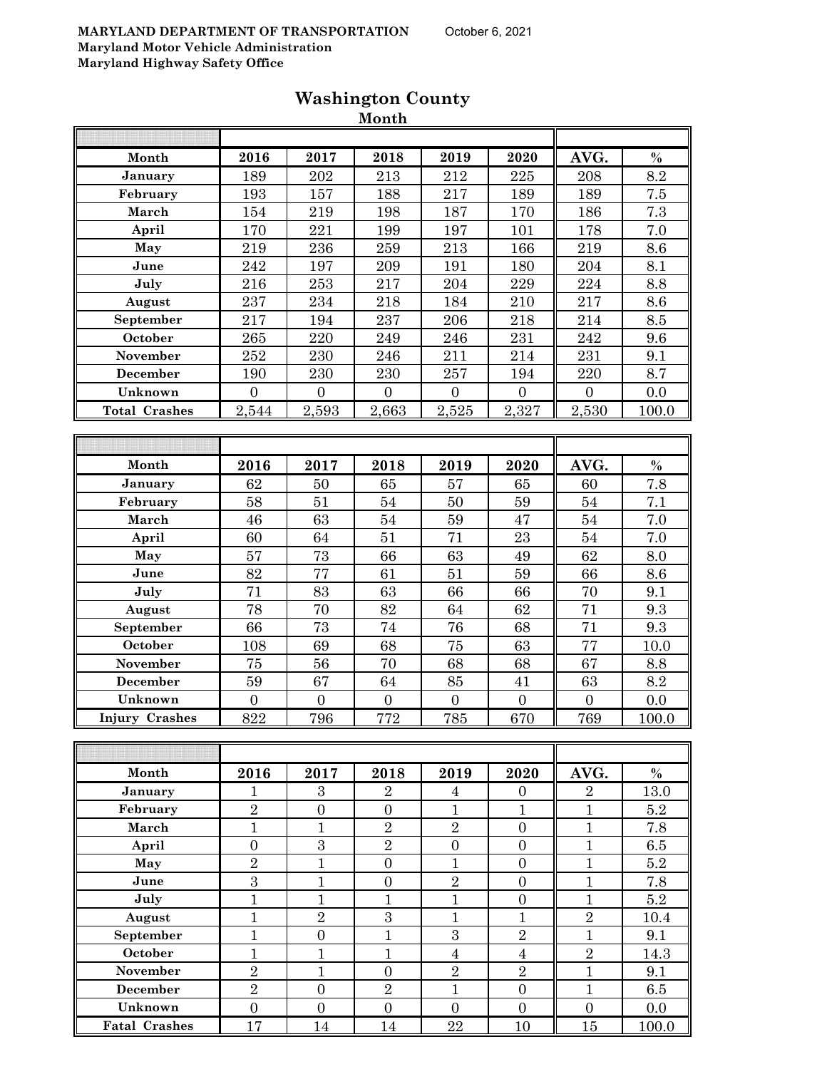|                       |                  |                  | wionth           |                  |                  |                  |         |
|-----------------------|------------------|------------------|------------------|------------------|------------------|------------------|---------|
|                       |                  |                  |                  |                  |                  |                  |         |
| Month                 | 2016             | 2017             | 2018             | 2019             | 2020             | AVG.             | $\%$    |
| January               | 189              | 202              | $\overline{213}$ | $\overline{2}12$ | 225              | 208              | 8.2     |
| February              | 193              | 157              | 188              | 217              | 189              | 189              | $7.5\,$ |
| March                 | 154              | 219              | 198              | 187              | 170              | 186              | 7.3     |
| April                 | 170              | 221              | 199              | 197              | 101              | 178              | 7.0     |
| May                   | 219              | 236              | 259              | 213              | 166              | 219              | 8.6     |
| June                  | 242              | 197              | 209              | 191              | 180              | 204              | 8.1     |
| July                  | 216              | 253              | 217              | 204              | 229              | 224              | 8.8     |
| August                | 237              | 234              | 218              | 184              | 210              | 217              | 8.6     |
| September             | 217              | 194              | 237              | 206              | 218              | 214              | 8.5     |
| October               | 265              | 220              | $\bf 249$        | $\bf 246$        | 231              | 242              | 9.6     |
| November              | 252              | 230              | 246              | 211              | 214              | 231              | 9.1     |
| December              | 190              | 230              | 230              | 257              | 194              | 220              | 8.7     |
| Unknown               | $\overline{0}$   | $\boldsymbol{0}$ | $\overline{0}$   | $\overline{0}$   | $\overline{0}$   | $\boldsymbol{0}$ | 0.0     |
| <b>Total Crashes</b>  | 2,544            | 2,593            | 2,663            | 2,525            | 2,327            | 2,530            | 100.0   |
|                       |                  |                  |                  |                  |                  |                  |         |
|                       |                  |                  |                  |                  |                  |                  |         |
| Month                 | 2016             | 2017             | 2018             | 2019             | 2020             | AVG.             | $\%$    |
| January               | 62               | 50               | 65               | 57               | 65               | 60               | 7.8     |
| February              | 58               | 51               | 54               | 50               | 59               | 54               | 7.1     |
| March                 | 46               | 63               | 54               | 59               | 47               | 54               | 7.0     |
| April                 | 60               | 64               | 51               | 71               | 23               | 54               | 7.0     |
| May                   | 57               | 73               | 66               | 63               | 49               | 62               | $8.0\,$ |
| June                  | 82               | 77               | 61               | 51               | 59               | 66               | 8.6     |
| July                  | 71               | 83               | 63               | 66               | 66               | 70               | 9.1     |
| August                | 78               | 70               | 82               | 64               | 62               | 71               | 9.3     |
| September             | 66               | 73               | 74               | 76               | 68               | 71               | 9.3     |
| October               | 108              | 69               | 68               | 75               | 63               | 77               | 10.0    |
| November              | 75               | 56               | 70               | 68               | 68               | 67               | 8.8     |
| December              | $59\,$           | 67               | 64               | 85               | 41               | 63               | 8.2     |
| Unknown               | $\boldsymbol{0}$ | $\overline{0}$   | $\boldsymbol{0}$ | $\boldsymbol{0}$ | $\boldsymbol{0}$ | $\boldsymbol{0}$ | 0.0     |
| <b>Injury Crashes</b> | 822              | 796              | 772              | 785              | 670              | 769              | 100.0   |
|                       |                  |                  |                  |                  |                  |                  |         |
|                       |                  |                  |                  |                  |                  |                  |         |
| Month                 | 2016             | 2017             | 2018             | 2019             | 2020             | AVG.             | $\%$    |
| January               | 1                | 3                | $\overline{2}$   | $\overline{4}$   | $\overline{0}$   | $\overline{2}$   | 13.0    |
| February              | $\overline{2}$   | $\boldsymbol{0}$ | $\overline{0}$   | $\mathbf{1}$     | $\mathbf{1}$     | $\mathbf{1}$     | 5.2     |
| March                 | $\mathbf{1}$     | $\mathbf{1}$     | $\sqrt{2}$       | $\overline{2}$   | $\boldsymbol{0}$ | $\mathbf{1}$     | 7.8     |
| April                 | $\boldsymbol{0}$ | $\boldsymbol{3}$ | $\overline{2}$   | $\boldsymbol{0}$ | $\boldsymbol{0}$ | $\mathbf{1}$     | 6.5     |
| May                   | $\overline{2}$   | $\mathbf{1}$     | $\overline{0}$   | $\mathbf{1}$     | $\overline{0}$   | $\mathbf{1}$     | $5.2\,$ |
| June                  | 3                | $\mathbf{1}$     | $\boldsymbol{0}$ | $\overline{2}$   | $\boldsymbol{0}$ | $\mathbf{1}$     | 7.8     |
| July                  | $\mathbf{1}$     | $\mathbf{1}$     | $\mathbf{1}$     | $\mathbf{1}$     | $\overline{0}$   | $\mathbf{1}$     | 5.2     |
| August                | $\mathbf{1}$     | $\sqrt{2}$       | $\sqrt{3}$       | $\mathbf{1}$     | $\mathbf{1}$     | $\sqrt{2}$       | 10.4    |
| September             | $\mathbf{1}$     | $\overline{0}$   | $\overline{1}$   | $\overline{3}$   | $\overline{2}$   | $\mathbf{1}$     | 9.1     |
| October               | $\mathbf{1}$     | $\mathbf{1}$     | $\mathbf{1}$     | $\overline{4}$   | $\sqrt{4}$       | $\sqrt{2}$       | 14.3    |
| <b>November</b>       | $\overline{2}$   | $\mathbf{1}$     | $\boldsymbol{0}$ | $\sqrt{2}$       | $\overline{2}$   | $\mathbf{1}$     | 9.1     |
| <b>December</b>       | $\overline{2}$   | $\boldsymbol{0}$ | $\overline{2}$   | $\mathbf{1}$     | $\overline{0}$   | $\mathbf{1}$     | 6.5     |
|                       |                  |                  |                  |                  |                  |                  |         |

**Unknown** 0 0 0 0 0 0 0.0 **Fatal Crashes** 17 14 14 22 10 15 100.0

## **Washington County**

**Month**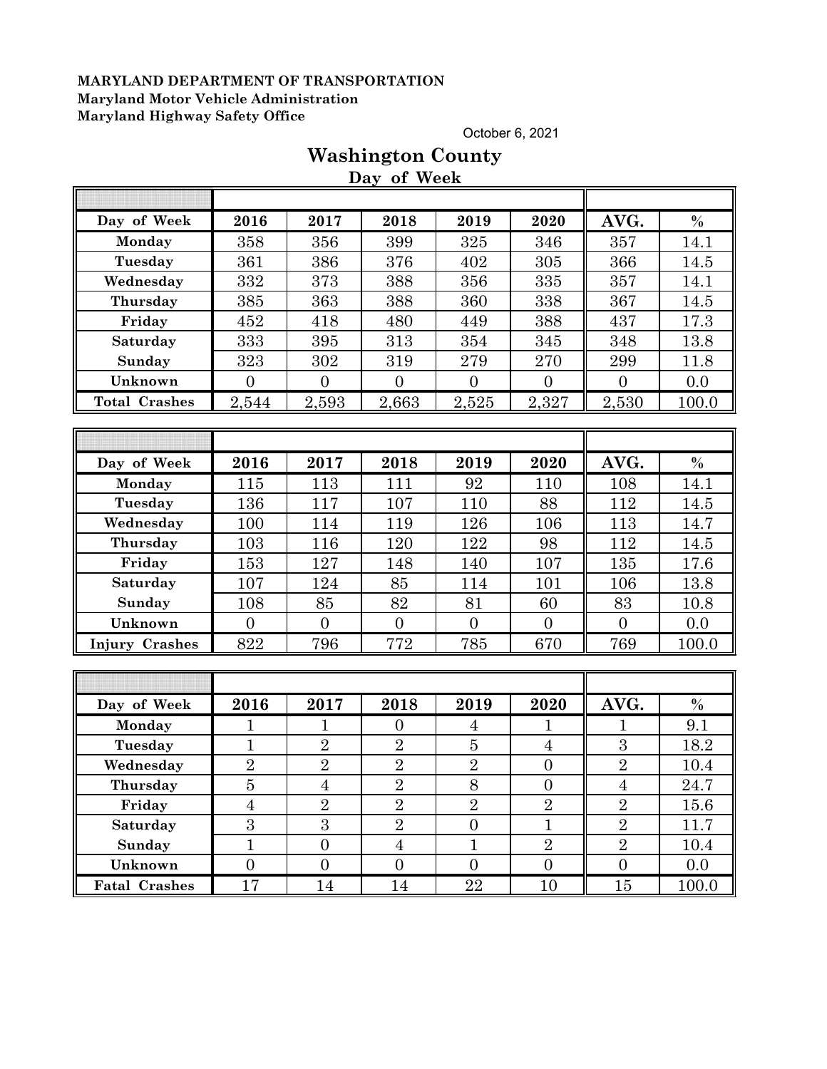October 6, 2021

|                       |                  |                  | Day of Week    |                  |                  |                  |               |
|-----------------------|------------------|------------------|----------------|------------------|------------------|------------------|---------------|
| Day of Week           | 2016             | 2017             | 2018           | 2019             | 2020             | AVG.             | $\frac{0}{0}$ |
| Monday                | 358              | 356              | 399            | 325              | 346              | 357              | 14.1          |
| Tuesday               | 361              | 386              | 376            | 402              | 305              | 366              | 14.5          |
|                       |                  |                  |                |                  |                  |                  |               |
| Wednesday             | 332              | 373              | 388            | 356              | 335              | 357              | 14.1          |
| Thursday              | 385              | 363              | 388            | 360              | 338              | 367              | 14.5          |
| Friday                | 452              | 418              | 480            | 449              | 388              | 437              | 17.3          |
| Saturday              | 333              | 395              | 313            | 354              | 345              | 348              | 13.8          |
| Sunday                | 323              | 302              | 319            | 279              | 270              | 299              | 11.8          |
| Unknown               | $\overline{0}$   | $\overline{0}$   | $\overline{0}$ | $\overline{0}$   | $\overline{0}$   | $\overline{0}$   | 0.0           |
| <b>Total Crashes</b>  | 2,544            | 2,593            | 2,663          | 2,525            | 2,327            | 2,530            | 100.0         |
|                       |                  |                  |                |                  |                  |                  |               |
|                       |                  |                  |                |                  |                  |                  |               |
| Day of Week           | 2016             | 2017             | 2018           | 2019             | 2020             | AVG.             | $\%$          |
| Monday                | 115              | 113              | 111            | 92               | 110              | 108              | 14.1          |
| Tuesday               | 136              | 117              | 107            | 110              | 88               | 112              | 14.5          |
| Wednesday             | 100              | 114              | 119            | 126              | 106              | 113              | 14.7          |
| Thursday              | 103              | 116              | 120            | 122              | 98               | 112              | 14.5          |
| Friday                | 153              | 127              | 148            | 140              | 107              | 135              | 17.6          |
| Saturday              | 107              | 124              | 85             | 114              | 101              | 106              | 13.8          |
| Sunday                | 108              | 85               | 82             | 81               | 60               | 83               | 10.8          |
| Unknown               | $\overline{0}$   | $\theta$         | $\overline{0}$ | $\overline{0}$   | $\overline{0}$   | $\overline{0}$   | 0.0           |
| <b>Injury Crashes</b> | 822              | 796              | 772            | 785              | 670              | 769              | 100.0         |
|                       |                  |                  |                |                  |                  |                  |               |
|                       |                  |                  |                |                  |                  |                  |               |
| Day of Week           | 2016             | 2017             | 2018           | 2019             | 2020             | AVG.             | $\%$          |
| Monday                | $\overline{1}$   | $\mathbf 1$      | $\overline{0}$ | $\overline{4}$   | $\mathbf{1}$     | 1                | 9.1           |
| Tuesday               | $\mathbf{1}$     | $\overline{2}$   | $\overline{2}$ | $\overline{5}$   | $\overline{4}$   | 3                | 18.2          |
| Wednesday             | $\sqrt{2}$       | $\overline{2}$   | $\overline{2}$ | $\overline{2}$   | $\boldsymbol{0}$ | $\sqrt{2}$       | 10.4          |
| Thursday              | $\overline{5}$   | $\overline{4}$   | $\overline{2}$ | 8                | $\overline{0}$   | $\overline{4}$   | $24.7\,$      |
| Friday                | $\overline{4}$   | $\overline{2}$   | $\overline{2}$ | $\overline{2}$   | $\overline{2}$   | $\overline{2}$   | 15.6          |
| Saturday              | $\boldsymbol{3}$ | 3                | $\overline{2}$ | $\overline{0}$   | $\mathbf{1}$     | $\overline{2}$   | 11.7          |
| Sunday                | $\mathbf{1}$     | $\overline{0}$   | $\overline{4}$ | $\mathbf{1}$     | $\overline{2}$   | $\overline{2}$   | 10.4          |
| Unknown               | $\boldsymbol{0}$ | $\boldsymbol{0}$ | $\overline{0}$ | $\boldsymbol{0}$ | $\boldsymbol{0}$ | $\boldsymbol{0}$ | 0.0           |
| <b>Fatal Crashes</b>  | 17               | 14               | 14             | 22               | 10               | 15               | 100.0         |

# **Washington County**

**Day of Week**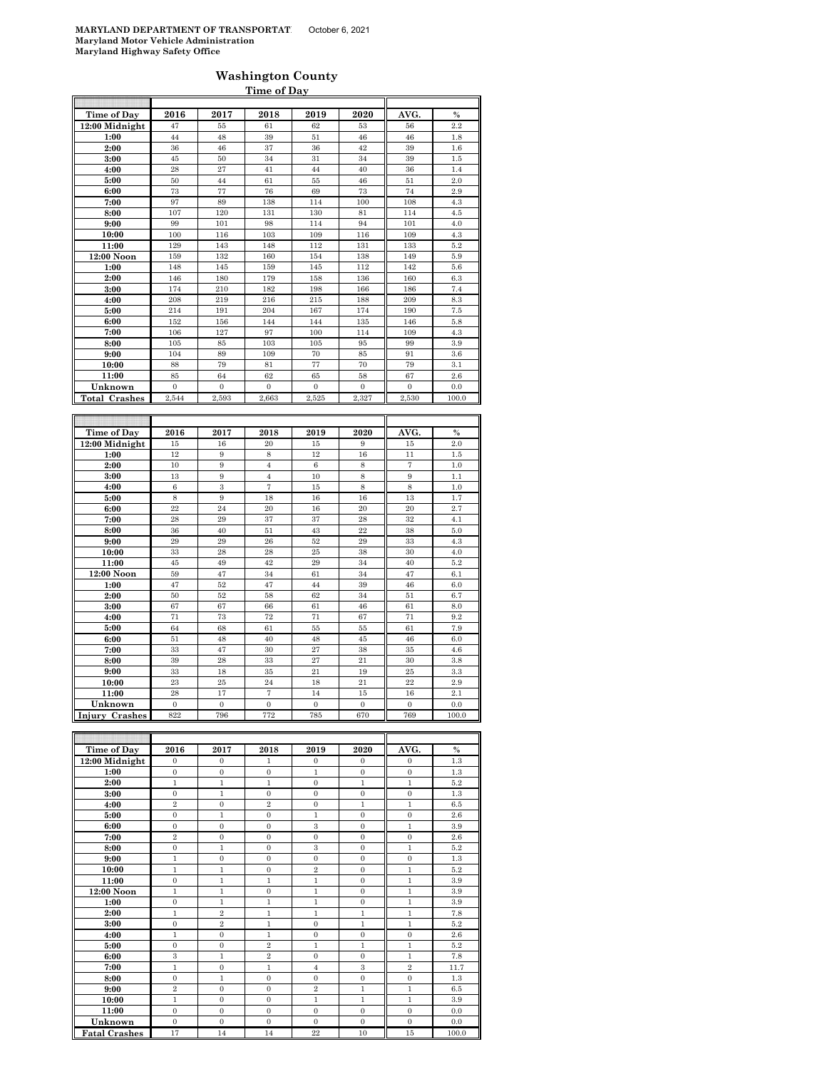#### **Washington County Time of Day**

| Time of Day               | 2016             | 2017                  | 2018             | 2019             | 2020             | AVG.             | $\frac{0}{0}$ |
|---------------------------|------------------|-----------------------|------------------|------------------|------------------|------------------|---------------|
| 12:00 Midnight            | 47               | 55                    | 61               | 62               | 53               | 56               | 2.2           |
| 1:00                      | 44               | 48                    | 39               | 51               | 46               | 46               | 1.8           |
| 2:00                      | 36               | 46                    | 37               | 36               | 42               | 39               | 1.6           |
| 3:00                      | 45               | 50                    | 34               | 31               | 34               | 39               | 1.5           |
| 4:00                      | 28               | 27                    | 41               | 44               | 40               | 36               | 1.4           |
| 5:00                      | 50               | 44                    | 61               | 55               | 46               | 51               | 2.0           |
| 6:00                      | 73               | 77                    | 76               | 69               | 73               | 74               | 2.9           |
| 7:00                      | 97               | 89                    | 138              | 114              | 100              | 108              | 4.3           |
| 8:00                      | 107              | 120                   | 131              | 130              | 81               | 114              | 4.5           |
| 9:00                      | 99               | 101                   | 98               | 114              | 94               | 101              | 4.0           |
| 10:00                     | 100              | 116                   | 103              | 109              | 116              | 109              | 4.3           |
| 11:00                     | 129              | 143                   | 148              | 112              | 131              | 133              | 5.2           |
| 12:00 Noon                | 159              | 132                   | 160              | 154              | 138              | 149              | 5.9           |
| 1:00                      | 148              | 145                   | 159              | 145              | 112              | 142              | 5.6           |
| 2:00                      | 146<br>174       | 180<br>210            | 179<br>182       | 158<br>198       | 136<br>166       | 160<br>186       | 6.3<br>7.4    |
| 3:00                      | 208              |                       |                  |                  |                  |                  |               |
| 4:00                      |                  | 219                   | 216              | 215              | 188              | 209              | 8.3           |
| 5:00                      | 214              | 191                   | 204              | 167              | 174              | 190              | 7.5           |
| 6:00<br>7:00              | 152<br>106       | 156<br>127            | 144<br>97        | 144<br>100       | 135<br>114       | 146<br>109       | 5.8<br>4.3    |
| 8:00                      | 105              | 85                    | 103              | 105              | 95               | 99               | 3.9           |
| 9:00                      | 104              | 89                    | 109              | 70               | 85               | 91               | 3.6           |
| 10:00                     | 88               | 79                    | 81               | 77               | 70               | 79               | 3.1           |
| 11:00                     | 85               | 64                    | 62               | 65               | 58               | 67               | 2.6           |
| Unknown                   | $\boldsymbol{0}$ | $\mathbf 0$           | $\boldsymbol{0}$ | $\boldsymbol{0}$ | $\boldsymbol{0}$ | $\boldsymbol{0}$ | 0.0           |
| <b>Total Crashes</b>      | 2,544            | 2,593                 | 2,663            | 2,525            | 2,327            | 2,530            | 100.0         |
|                           |                  |                       |                  |                  |                  |                  |               |
|                           |                  |                       |                  |                  |                  |                  |               |
| Time of Day               | 2016             | 2017                  | 2018             | 2019             | 2020             | AVG.             | $\frac{0}{0}$ |
| 12:00 Midnight            | 15               | 16                    | 20               | $15\,$           | 9                | 15               | 2.0           |
| 1:00                      | 12               | 9                     | 8                | 12               | 16               | 11               | $1.5\,$       |
| 2:00                      | 10               | 9                     | $\overline{4}$   | $\,$ 6 $\,$      | 8                | $\overline{7}$   | 1.0           |
| 3:00                      | 13               | 9                     | $\overline{4}$   | 10               | 8                | 9                | 1.1           |
| 4:00                      | $\,$ 6 $\,$      | 3                     | $\overline{7}$   | 15               | 8                | 8                | 1.0           |
| 5:00                      | 8                | 9                     | 18               | 16               | 16               | 13               | 1.7           |
| 6:00                      | 22               | 24                    | 20               | 16               | 20               | 20               | 2.7           |
| 7:00                      | 28               | 29                    | 37               | 37               | 28               | 32               | 4.1           |
| 8:00                      | 36               | 40                    | 51               | 43               | 22               | 38               | 5.0           |
| 9:00                      | 29               | 29                    | 26               | 52               | 29               | 33               | 4.3           |
| 10:00                     | 33               | 28                    | 28               | 25               | 38               | 30               | 4.0           |
| 11:00                     | 45               | 49                    | 42               | 29               | 34               | 40               | 5.2           |
| 12:00 Noon                | 59               | 47                    | 34               | 61               | 34               | 47               | 6.1           |
|                           |                  |                       |                  |                  |                  |                  |               |
| 1:00                      | 47               | 52                    | 47               | 44               | 39               | 46               | 6.0           |
| 2:00                      | 50               | 52                    | 58               | 62               | 34               | 51               | 6.7           |
| 3:00                      | 67               | 67                    | 66               | 61               | 46               | 61               | 8.0           |
| 4:00                      | 71               | 73                    | 72               | 71               | 67               | 71               | 9.2           |
| 5:00                      | 64               | 68                    | 61               | 55               | 55               | 61               | 7.9           |
| 6:00                      | 51               | 48                    | 40               | 48               | 45               | 46               | 6.0           |
| 7:00                      | 33               | 47                    | 30               | 27               | 38               | 35               | $4.6\,$       |
| 8:00                      | 39               | 28                    | 33               | 27               | 21               | 30               | 3.8           |
| 9:00                      | 33               | 18                    | 35               | 21               | 19               | 25               | 3.3           |
| 10:00                     | 23               | 25                    | 24               | 18               | 21               | 22               | 2.9           |
| 11:00                     | 28               | 17                    | $\overline{7}$   | 14               | 15               | 16               | 2.1           |
| Unknown<br>Injury Crashes | $\theta$<br>822  | $\overline{0}$<br>796 | $\Omega$<br>772  | $\Omega$<br>785  | $\theta$<br>670  | $\Omega$<br>769  | 0.0<br>100.0  |

| <b>Time of Day</b>   | 2016           | 2017           | 2018           | 2019           | 2020         | AVG.           | $\frac{0}{0}$ |
|----------------------|----------------|----------------|----------------|----------------|--------------|----------------|---------------|
| 12:00 Midnight       | $\mathbf{0}$   | $\mathbf{0}$   | 1              | $\mathbf{0}$   | $\mathbf{0}$ | $\mathbf{0}$   | 1.3           |
| 1:00                 | $\mathbf{0}$   | $\mathbf{0}$   | $\mathbf{0}$   | $\mathbf{1}$   | $\mathbf{0}$ | $\mathbf{0}$   | 1.3           |
| 2:00                 | $\mathbf{1}$   | $\mathbf{1}$   | 1              | $\mathbf{0}$   | $\mathbf{1}$ | 1              | 5.2           |
| 3:00                 | $\Omega$       | 1              | $\Omega$       | $\Omega$       | $\Omega$     | $\mathbf{0}$   | 1.3           |
| 4:00                 | $\overline{2}$ | $\mathbf{0}$   | $\overline{2}$ | $\Omega$       | $\mathbf{1}$ | $\mathbf{1}$   | 6.5           |
| 5:00                 | $\mathbf{0}$   | $\mathbf{1}$   | $\mathbf{0}$   | $\mathbf{1}$   | $\mathbf{0}$ | $\mathbf{0}$   | 2.6           |
| 6:00                 | $\Omega$       | $\theta$       | $\Omega$       | 3              | $\Omega$     | $\mathbf{1}$   | 3.9           |
| 7:00                 | $\overline{2}$ | $\overline{0}$ | $\mathbf{0}$   | $\Omega$       | $\mathbf{0}$ | $\mathbf{0}$   | 2.6           |
| 8:00                 | $\mathbf{0}$   | $\mathbf{1}$   | $\mathbf{0}$   | 3              | $\mathbf{0}$ | 1              | 5.2           |
| 9:00                 | $\mathbf{1}$   | $\theta$       | $\Omega$       | $\Omega$       | $\Omega$     | $\Omega$       | 1.3           |
| 10:00                | $\mathbf{1}$   | $\mathbf{1}$   | $\mathbf{0}$   | $\overline{2}$ | $\mathbf{0}$ | $\mathbf{1}$   | 5.2           |
| 11:00                | $\mathbf{0}$   | $\mathbf{1}$   | $\mathbf{1}$   | $\mathbf{1}$   | $\mathbf{0}$ | $\mathbf{1}$   | 3.9           |
| 12:00 Noon           | $\mathbf{1}$   | $\mathbf{1}$   | $\mathbf{0}$   | $\mathbf{1}$   | $\Omega$     | $\mathbf{1}$   | 3.9           |
| 1:00                 | $\mathbf{0}$   | $\mathbf{1}$   | $\mathbf{1}$   | 1              | $\mathbf{0}$ | $\mathbf{1}$   | 3.9           |
| 2:00                 | $\mathbf{1}$   | $\overline{2}$ | $\mathbf{1}$   | $\mathbf{1}$   | $\mathbf{1}$ | $\mathbf{1}$   | 7.8           |
| 3:00                 | $\overline{0}$ | $\overline{2}$ | $\mathbf{1}$   | $\mathbf{0}$   | $\mathbf{1}$ | $\mathbf{1}$   | 5.2           |
| 4:00                 | $\mathbf{1}$   | $\mathbf{0}$   | $\mathbf{1}$   | $\mathbf{0}$   | $\mathbf{0}$ | $\mathbf{0}$   | 2.6           |
| 5:00                 | $\mathbf{0}$   | $\overline{0}$ | $\overline{2}$ | $\mathbf{1}$   | $\mathbf{1}$ | $\mathbf{1}$   | 5.2           |
| 6:00                 | 3              | 1              | $\overline{2}$ | $\Omega$       | $\Omega$     | $\mathbf{1}$   | 7.8           |
| 7:00                 | $\mathbf{1}$   | $\mathbf{0}$   | $\mathbf{1}$   | $\overline{4}$ | 3            | $\overline{2}$ | 11.7          |
| 8:00                 | $\mathbf{0}$   | $\mathbf{1}$   | $\mathbf{0}$   | $\Omega$       | $\mathbf{0}$ | $\overline{0}$ | 1.3           |
| 9:00                 | $\overline{2}$ | $\Omega$       | $\Omega$       | $\overline{2}$ | 1            | $\mathbf{1}$   | 6.5           |
| 10:00                | $\mathbf{1}$   | $\overline{0}$ | $\mathbf{0}$   | $\mathbf{1}$   | $\mathbf{1}$ | $\mathbf{1}$   | 3.9           |
| 11:00                | $\Omega$       | $\Omega$       | $\Omega$       | $\Omega$       | $\mathbf{0}$ | $\overline{0}$ | 0.0           |
| Unknown              | $\Omega$       | $\Omega$       | $\Omega$       | $\Omega$       | $\Omega$     | $\Omega$       | 0.0           |
| <b>Fatal Crashes</b> | 17             | 14             | 14             | 22             | 10           | 15             | 100.0         |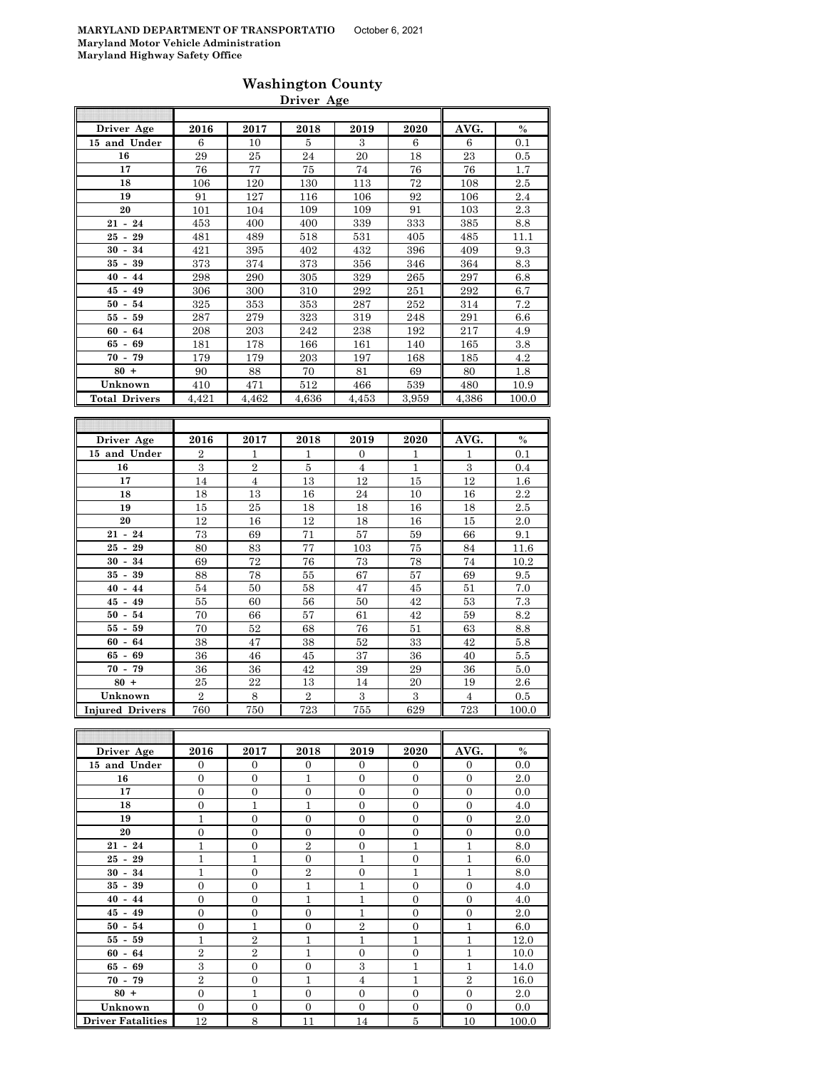|                      |       |       | Driver Age |       |       |       |       |
|----------------------|-------|-------|------------|-------|-------|-------|-------|
|                      |       |       |            |       |       |       |       |
| Driver Age           | 2016  | 2017  | 2018       | 2019  | 2020  | AVG.  | $\%$  |
| 15 and Under         | 6     | 10    | 5          | 3     | 6     | 6     | 0.1   |
| 16                   | 29    | 25    | 24         | 20    | 18    | 23    | 0.5   |
| 17                   | 76    | 77    | 75         | 74    | 76    | 76    | 1.7   |
| 18                   | 106   | 120   | 130        | 113   | 72    | 108   | 2.5   |
| 19                   | 91    | 127   | 116        | 106   | 92    | 106   | 2.4   |
| 20                   | 101   | 104   | 109        | 109   | 91    | 103   | 2.3   |
| $21 - 24$            | 453   | 400   | 400        | 339   | 333   | 385   | 8.8   |
| $25 - 29$            | 481   | 489   | 518        | 531   | 405   | 485   | 11.1  |
| $30 - 34$            | 421   | 395   | 402        | 432   | 396   | 409   | 9.3   |
| $35 - 39$            | 373   | 374   | 373        | 356   | 346   | 364   | 8.3   |
| $40 - 44$            | 298   | 290   | 305        | 329   | 265   | 297   | 6.8   |
| $45 - 49$            | 306   | 300   | 310        | 292   | 251   | 292   | 6.7   |
| $50 - 54$            | 325   | 353   | 353        | 287   | 252   | 314   | 7.2   |
| $55 - 59$            | 287   | 279   | 323        | 319   | 248   | 291   | 6.6   |
| $60 - 64$            | 208   | 203   | 242        | 238   | 192   | 217   | 4.9   |
| $65 - 69$            | 181   | 178   | 166        | 161   | 140   | 165   | 3.8   |
| $70 - 79$            | 179   | 179   | 203        | 197   | 168   | 185   | 4.2   |
| $80 +$               | 90    | 88    | 70         | 81    | 69    | 80    | 1.8   |
| Unknown              | 410   | 471   | 512        | 466   | 539   | 480   | 10.9  |
| <b>Total Drivers</b> | 4,421 | 4,462 | 4,636      | 4.453 | 3,959 | 4,386 | 100.0 |

**Washington County**

| Driver Age             | 2016           | 2017           | 2018           | 2019           | 2020 | AVG.           | $\%$    |
|------------------------|----------------|----------------|----------------|----------------|------|----------------|---------|
| 15 and Under           | $\overline{2}$ | 1              | 1              | $\Omega$       | 1    | 1              | 0.1     |
| 16                     | 3              | $\overline{2}$ | $\overline{5}$ | $\overline{4}$ | 1    | $\mathbf{a}$   | 0.4     |
| 17                     | 14             | $\overline{4}$ | 13             | 12             | 15   | 12             | $1.6\,$ |
| 18                     | 18             | 13             | 16             | 24             | 10   | 16             | $2.2\,$ |
| 19                     | 15             | 25             | 18             | 18             | 16   | 18             | 2.5     |
| 20                     | 12             | 16             | 12             | 18             | 16   | 15             | 2.0     |
| $21 - 24$              | 73             | 69             | 71             | 57             | 59   | 66             | 9.1     |
| $25 - 29$              | 80             | 83             | 77             | 103            | 75   | 84             | 11.6    |
| $30 -$<br>34           | 69             | 72             | 76             | 73             | 78   | 74             | 10.2    |
| $35 - 39$              | 88             | 78             | 55             | 67             | 57   | 69             | 9.5     |
| $40 - 44$              | 54             | 50             | 58             | 47             | 45   | 51             | 7.0     |
| $45 - 49$              | 55             | 60             | 56             | 50             | 42   | 53             | 7.3     |
| $50 -$<br>54           | 70             | 66             | 57             | 61             | 42   | 59             | 8.2     |
| $55 - 59$              | 70             | 52             | 68             | 76             | 51   | 63             | 8.8     |
| $60 - 64$              | 38             | 47             | 38             | 52             | 33   | 42             | 5.8     |
| $65 - 69$              | 36             | 46             | 45             | 37             | 36   | 40             | 5.5     |
| $70 - 79$              | 36             | 36             | 42             | 39             | 29   | 36             | 5.0     |
| $80 +$                 | 25             | 22             | 13             | 14             | 20   | 19             | $2.6\,$ |
| Unknown                | $\overline{2}$ | 8              | $\overline{2}$ | 3              | 3    | $\overline{4}$ | 0.5     |
| <b>Injured Drivers</b> | 760            | 750            | 723            | 755            | 629  | 723            | 100.0   |

| Driver Age               | 2016           | 2017           | 2018           | 2019           | 2020           | AVG.           | $\%$  |
|--------------------------|----------------|----------------|----------------|----------------|----------------|----------------|-------|
| 15 and Under             | $\mathbf{0}$   | $\overline{0}$ | $\theta$       | $\Omega$       | $\overline{0}$ | $\mathbf{0}$   | 0.0   |
| 16                       | $\overline{0}$ | $\overline{0}$ | 1              | $\Omega$       | $\overline{0}$ | $\mathbf{0}$   | 2.0   |
| 17                       | $\overline{0}$ | $\overline{0}$ | $\theta$       | $\overline{0}$ | $\overline{0}$ | $\mathbf{0}$   | 0.0   |
| 18                       | $\overline{0}$ | 1              | 1              | $\Omega$       | $\overline{0}$ | $\mathbf{0}$   | 4.0   |
| 19                       | 1              | $\overline{0}$ | $\Omega$       | $\Omega$       | $\Omega$       | $\overline{0}$ | 2.0   |
| 20                       | $\overline{0}$ | $\overline{0}$ | $\Omega$       | $\Omega$       | $\overline{0}$ | $\overline{0}$ | 0.0   |
| $21 - 24$                | 1              | $\overline{0}$ | $\overline{2}$ | $\Omega$       | $\mathbf{1}$   | 1              | 8.0   |
| $25 - 29$                | 1              | 1              | $\theta$       | $\mathbf{1}$   | $\overline{0}$ | 1              | 6.0   |
| $30 - 34$                | $\mathbf{1}$   | $\overline{0}$ | $\overline{2}$ | $\Omega$       | $\mathbf{1}$   | $\mathbf{1}$   | 8.0   |
| $35 - 39$                | $\overline{0}$ | $\overline{0}$ | 1              | 1              | $\overline{0}$ | $\overline{0}$ | 4.0   |
| $40 - 44$                | $\overline{0}$ | $\overline{0}$ | 1              | $\mathbf{1}$   | $\overline{0}$ | $\mathbf{0}$   | 4.0   |
| $45 - 49$                | $\overline{0}$ | $\overline{0}$ | $\overline{0}$ | 1              | $\overline{0}$ | $\mathbf{0}$   | 2.0   |
| $50 - 54$                | $\overline{0}$ | $\overline{1}$ | $\overline{0}$ | $\overline{2}$ | $\overline{0}$ | 1              | 6.0   |
| $55 - 59$                | $\mathbf{1}$   | $\overline{2}$ | 1              | $\mathbf{1}$   | $\mathbf{1}$   | $\mathbf{1}$   | 12.0  |
| $60 - 64$                | $\overline{2}$ | $\overline{2}$ | 1              | $\Omega$       | $\overline{0}$ | $\mathbf{1}$   | 10.0  |
| $65 - 69$                | 3              | $\overline{0}$ | $\theta$       | 3              | $\mathbf{1}$   | 1              | 14.0  |
| $70 - 79$                | $\overline{2}$ | $\overline{0}$ | 1              | $\overline{4}$ | $\mathbf{1}$   | $\overline{2}$ | 16.0  |
| $80 +$                   | $\overline{0}$ | $\overline{1}$ | $\Omega$       | $\Omega$       | $\overline{0}$ | $\overline{0}$ | 2.0   |
| Unknown                  | $\overline{0}$ | $\overline{0}$ | $\theta$       | $\Omega$       | $\overline{0}$ | $\mathbf{0}$   | 0.0   |
| <b>Driver Fatalities</b> | 12             | 8              | 11             | 14             | $\bf 5$        | 10             | 100.0 |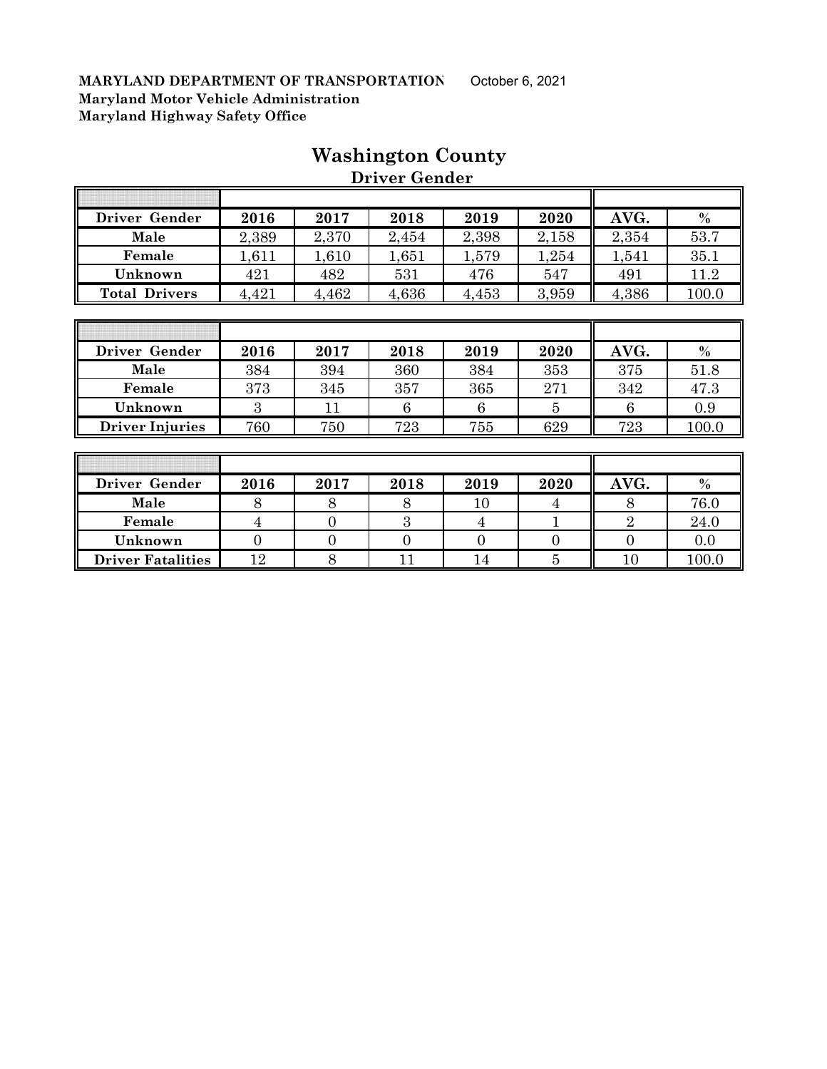|                      |       |       | <i>DIIV</i> CI QUIRCI |       |       |       |       |
|----------------------|-------|-------|-----------------------|-------|-------|-------|-------|
|                      |       |       |                       |       |       |       |       |
| Driver Gender        | 2016  | 2017  | 2018                  | 2019  | 2020  | AVG.  | $\%$  |
| Male                 | 2,389 | 2,370 | 2,454                 | 2,398 | 2,158 | 2,354 | 53.7  |
| Female               | 1,611 | .610  | 1,651                 | 1,579 | 1,254 | 1,541 | 35.1  |
| Unknown              | 421   | 482   | 531                   | 476   | 547   | 491   | 11.2  |
| <b>Total Drivers</b> | 4,421 | 4,462 | 4,636                 | 4,453 | 3,959 | 4,386 | 100.0 |

## **Washington County**

 **Driver Gender**

| Driver Gender          | 2016 | 2017 | 2018 | 2019 | 2020 | AVG. | $\frac{0}{0}$ |
|------------------------|------|------|------|------|------|------|---------------|
| Male                   | 384  | 394  | 360  | 384  | 353  | 375  | 51.8          |
| Female                 | 373  | 345  | 357  | 365  | 271  | 342  | 47.3          |
| Unknown                |      |      |      |      |      |      | 0.9           |
| <b>Driver Injuries</b> | 760  | 750  | 723  | 755  | 629  | 723  | 100.0         |

| Driver Gender            | 2016 | 2017 | 2018 | 2019 | 2020 | AVG. | $\%$  |
|--------------------------|------|------|------|------|------|------|-------|
| Male                     |      |      |      |      |      |      | 76.0  |
| Female                   |      |      |      |      |      |      | 24.0  |
| Unknown                  |      |      |      |      |      |      | 0.0   |
| <b>Driver Fatalities</b> | 12   |      |      | 4    |      |      | 100.0 |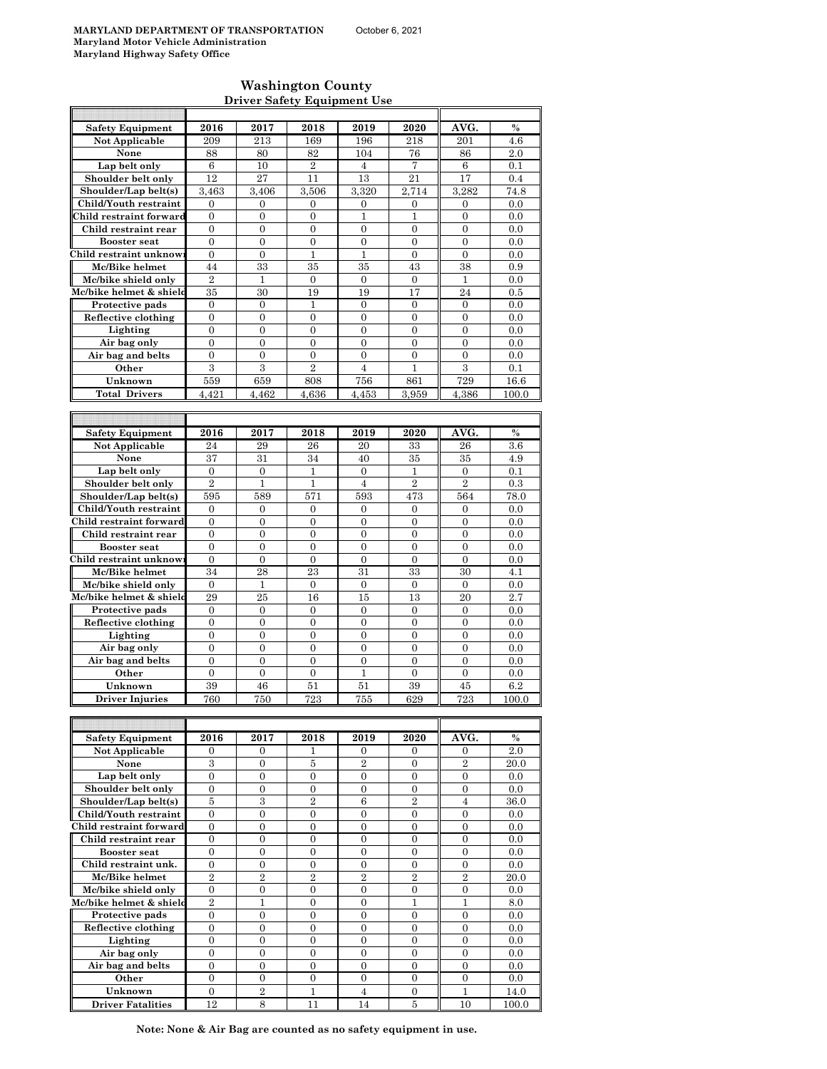#### **Washington County Driver Safety Equipment Use**

| <b>Safety Equipment</b>                       | 2016                           | 2017                                 | 2018                               | 2019                               | 2020                                 | AVG.                                 | $\frac{0}{0}$ |
|-----------------------------------------------|--------------------------------|--------------------------------------|------------------------------------|------------------------------------|--------------------------------------|--------------------------------------|---------------|
| <b>Not Applicable</b>                         | 209                            | 213                                  | 169                                | 196                                | 218                                  | 201                                  | 4.6           |
| None                                          | 88                             | 80                                   | 82                                 | 104                                | 76                                   | 86                                   | 2.0           |
| Lap belt only                                 | 6                              | 10                                   | $\overline{2}$                     | 4                                  | 7                                    | 6                                    | 0.1           |
| Shoulder belt only                            | 12                             | 27                                   | 11                                 | 13                                 | 21                                   | 17                                   | 0.4           |
| Shoulder/Lap belt(s)                          | 3,463                          | 3,406                                | 3,506                              | 3,320                              | 2,714                                | 3,282                                | 74.8          |
| Child/Youth restraint                         | $\boldsymbol{0}$               | $\boldsymbol{0}$                     | 0                                  | 0                                  | 0                                    | 0                                    | 0.0           |
| Child restraint forward                       | $\overline{0}$                 | $\mathbf{0}$                         | $\overline{0}$                     | $\mathbf{1}$                       | $\mathbf{1}$                         | $\overline{0}$                       | 0.0           |
| Child restraint rear                          | 0<br>$\overline{0}$            | $\mathbf{0}$<br>$\mathbf{0}$         | $\mathbf{0}$<br>$\overline{0}$     | $\overline{0}$<br>$\overline{0}$   | $\overline{0}$<br>$\Omega$           | $\overline{0}$<br>$\theta$           | 0.0           |
| <b>Booster seat</b><br>Child restraint unknow | $\overline{0}$                 | $\boldsymbol{0}$                     | 1                                  | 1                                  | 0                                    | $\boldsymbol{0}$                     | 0.0<br>0.0    |
| Mc/Bike helmet                                | 44                             | 33                                   | 35                                 | 35                                 | 43                                   | 38                                   | 0.9           |
| Mc/bike shield only                           | $\overline{2}$                 | 1                                    | $\mathbf{0}$                       | $\overline{0}$                     | $\overline{0}$                       | 1                                    | 0.0           |
| Mc/bike helmet & shield                       | 35                             | 30                                   | 19                                 | 19                                 | 17                                   | 24                                   | 0.5           |
| Protective pads                               | $\mathbf{0}$                   | $\mathbf{0}$                         | 1                                  | $\overline{0}$                     | $\overline{0}$                       | $\overline{0}$                       | 0.0           |
| Reflective clothing                           | $\mathbf{0}$                   | $\mathbf{0}$                         | $\boldsymbol{0}$                   | $\boldsymbol{0}$                   | $\boldsymbol{0}$                     | $\boldsymbol{0}$                     | 0.0           |
| Lighting                                      | $\overline{0}$                 | $\mathbf{0}$                         | $\overline{0}$                     | $\overline{0}$                     | 0                                    | $\overline{0}$                       | 0.0           |
| Air bag only                                  | $\mathbf{0}$                   | $\mathbf{0}$                         | $\overline{0}$                     | $\overline{0}$                     | $\overline{0}$                       | $\overline{0}$                       | 0.0           |
| Air bag and belts                             | $\overline{0}$                 | $\mathbf{0}$                         | $\overline{0}$                     | $\overline{0}$                     | $\theta$                             | $\overline{0}$                       | 0.0           |
| Other                                         | $\overline{3}$                 | $\overline{3}$                       | $\overline{2}$                     | $\overline{4}$                     | 1                                    | $\overline{3}$                       | 0.1           |
| Unknown                                       | 559                            | 659                                  | 808                                | 756                                | 861                                  | 729                                  | 16.6          |
| <b>Total Drivers</b>                          | 4,421                          | 4.462                                | 4,636                              | 4,453                              | 3,959                                | 4,386                                | 100.0         |
|                                               |                                |                                      |                                    |                                    |                                      |                                      |               |
|                                               |                                |                                      |                                    |                                    |                                      |                                      |               |
| <b>Safety Equipment</b>                       | 2016                           | 2017                                 | 2018                               | 2019                               | 2020                                 | AVG.                                 | $\%$          |
| Not Applicable<br>None                        | 24<br>37                       | 29<br>31                             | 26<br>34                           | 20<br>40                           | 33<br>35                             | 26<br>35                             | 3.6<br>4.9    |
| Lap belt only                                 | $\boldsymbol{0}$               | $\mathbf{0}$                         | 1                                  | $\mathbf{0}$                       | 1                                    | 0                                    | 0.1           |
| Shoulder belt only                            | $\overline{2}$                 | 1                                    | 1                                  | $\overline{4}$                     | $\overline{2}$                       | $\overline{2}$                       | 0.3           |
| Shoulder/Lap belt(s)                          | 595                            | 589                                  | 571                                | 593                                | 473                                  | 564                                  | 78.0          |
| Child/Youth restraint                         | $\overline{0}$                 | $\overline{0}$                       | $\overline{0}$                     | $\overline{0}$                     | $\overline{0}$                       | $\overline{0}$                       | 0.0           |
| Child restraint forward                       | 0                              | $\boldsymbol{0}$                     | $\boldsymbol{0}$                   | 0                                  | 0                                    | $\boldsymbol{0}$                     | 0.0           |
| Child restraint rear                          | $\overline{0}$                 | $\mathbf{0}$                         | $\overline{0}$                     | $\overline{0}$                     | 0                                    | $\overline{0}$                       | 0.0           |
| <b>Booster</b> seat                           | $\overline{0}$                 | $\mathbf{0}$                         | $\overline{0}$                     | $\overline{0}$                     | $\overline{0}$                       | $\overline{0}$                       | 0.0           |
| Child restraint unknow                        | $\overline{0}$                 | $\mathbf{0}$                         | 0                                  | $\boldsymbol{0}$                   | $\boldsymbol{0}$                     | $\boldsymbol{0}$                     | 0.0           |
| Mc/Bike helmet                                | 34                             | 28                                   | 23                                 | 31                                 | 33                                   | 30                                   | 4.1           |
| Mc/bike shield only                           | $\boldsymbol{0}$               | 1                                    | 0                                  | $\mathbf{0}$                       | 0                                    | 0                                    | 0.0           |
| Mc/bike helmet & shield                       | 29                             | 25                                   | 16                                 | 15                                 | 13                                   | 20                                   | 2.7           |
| Protective pads                               | $\overline{0}$                 | $\mathbf{0}$                         | $\mathbf{0}$                       | $\overline{0}$                     | $\overline{0}$                       | $\overline{0}$                       | 0.0           |
| Reflective clothing                           | $\overline{0}$<br>$\mathbf{0}$ | $\overline{0}$<br>$\boldsymbol{0}$   | $\overline{0}$<br>$\boldsymbol{0}$ | $\overline{0}$<br>$\boldsymbol{0}$ | $\overline{0}$<br>$\boldsymbol{0}$   | $\overline{0}$<br>$\boldsymbol{0}$   | 0.0           |
| Lighting<br>Air bag only                      | $\boldsymbol{0}$               | $\boldsymbol{0}$                     | 0                                  | 0                                  | 0                                    | $\mathbf{0}$                         | 0.0<br>0.0    |
| Air bag and belts                             | $\overline{0}$                 | $\mathbf{0}$                         | $\overline{0}$                     | $\overline{0}$                     | $\overline{0}$                       | $\overline{0}$                       | 0.0           |
| Other                                         | $\mathbf{0}$                   | $\mathbf{0}$                         | 0                                  | 1                                  | $\mathbf{0}$                         | 0                                    | 0.0           |
| Unknown                                       | 39                             | 46                                   | 51                                 | 51                                 | 39                                   | 45                                   | 6.2           |
| <b>Driver Injuries</b>                        | 760                            | 750                                  | 723                                | 755                                | 629                                  | 723                                  | 100.0         |
|                                               |                                |                                      |                                    |                                    |                                      |                                      |               |
|                                               |                                |                                      |                                    |                                    |                                      |                                      |               |
| <b>Safety Equipment</b>                       | 2016                           | 2017                                 | 2018                               | 2019                               | 2020                                 | AVG.                                 | %             |
| Not Applicable                                | 0                              | 0                                    | 1                                  | 0                                  | 0                                    | 0                                    | 2.0           |
| None                                          | 3                              | 0                                    | 5                                  | 2                                  | 0                                    | $\,2$                                | 20.0          |
| Lap belt only                                 | $\overline{0}$                 | $\boldsymbol{0}$                     | $\overline{0}$                     | $\overline{0}$                     | $\overline{0}$                       | $\overline{0}$                       | 0.0           |
| Shoulder belt only                            | $\boldsymbol{0}$               | $\boldsymbol{0}$                     | $\boldsymbol{0}$                   | 0                                  | 0                                    | $\boldsymbol{0}$                     | 0.0           |
| Shoulder/Lap belt(s)                          | 5                              | 3                                    | $\overline{2}$                     | 6                                  | $\overline{2}$                       | $\overline{4}$                       | 36.0          |
| Child/Youth restraint                         | $\boldsymbol{0}$               | $\boldsymbol{0}$                     | $\boldsymbol{0}$                   | $\boldsymbol{0}$                   | $\boldsymbol{0}$                     | $\boldsymbol{0}$                     | 0.0           |
| Child restraint forward                       | $\boldsymbol{0}$               | $\boldsymbol{0}$                     | $\boldsymbol{0}$                   | $\boldsymbol{0}$                   | $\boldsymbol{0}$                     | $\boldsymbol{0}$                     | 0.0           |
| Child restraint rear<br><b>Booster seat</b>   | $\boldsymbol{0}$<br>0          | $\boldsymbol{0}$<br>$\boldsymbol{0}$ | 0<br>$\boldsymbol{0}$              | 0<br>$\boldsymbol{0}$              | $\boldsymbol{0}$<br>$\boldsymbol{0}$ | $\boldsymbol{0}$<br>$\boldsymbol{0}$ | 0.0<br>0.0    |
| Child restraint unk.                          | $\overline{0}$                 | $\mathbf{0}$                         | $\overline{0}$                     | $\mathbf{0}$                       | $\overline{0}$                       | $\overline{0}$                       | 0.0           |
| Mc/Bike helmet                                | $\overline{2}$                 | $\overline{2}$                       | $\,2$                              | $\overline{2}$                     | $\overline{2}$                       | $\overline{2}$                       | 20.0          |
| Mc/bike shield only                           | $\boldsymbol{0}$               | $\boldsymbol{0}$                     | $\boldsymbol{0}$                   | $\overline{0}$                     | 0                                    | $\overline{0}$                       | 0.0           |
| Mc/bike helmet & shield                       | $\overline{2}$                 | $\mathbf{1}$                         | $\mathbf{0}$                       | $\boldsymbol{0}$                   | $\mathbf{1}$                         | $\mathbf{1}$                         | 8.0           |
| Protective pads                               | $\boldsymbol{0}$               | 0                                    | 0                                  | 0                                  | 0                                    | 0                                    | 0.0           |
| Reflective clothing                           | $\overline{0}$                 | $\mathbf{0}$                         | $\overline{0}$                     | $\overline{0}$                     | $\overline{0}$                       | $\overline{0}$                       | 0.0           |
| Lighting                                      | $\boldsymbol{0}$               | 0                                    | 0                                  | 0                                  | 0                                    | 0                                    | 0.0           |
| Air bag only                                  | $\overline{0}$                 | $\mathbf{0}$                         | $\boldsymbol{0}$                   | $\boldsymbol{0}$                   | $\boldsymbol{0}$                     | $\boldsymbol{0}$                     | 0.0           |
| Air bag and belts                             | $\boldsymbol{0}$               | 0                                    | 0                                  | $\boldsymbol{0}$                   | $\boldsymbol{0}$                     | $\boldsymbol{0}$                     | 0.0           |
| Other                                         | $\overline{0}$                 | $\boldsymbol{0}$                     | $\overline{0}$                     | $\overline{0}$                     | $\overline{0}$                       | $\overline{0}$                       | 0.0           |
| Unknown                                       | $\overline{0}$                 | $\sqrt{2}$                           | $\mathbf{1}$                       | $\overline{4}$                     | $\overline{0}$                       | $\mathbf{1}$                         | 14.0          |
| <b>Driver Fatalities</b>                      | 12                             | 8                                    | 11                                 | 14                                 | 5                                    | 10                                   | 100.0         |

**Note: None & Air Bag are counted as no safety equipment in use.**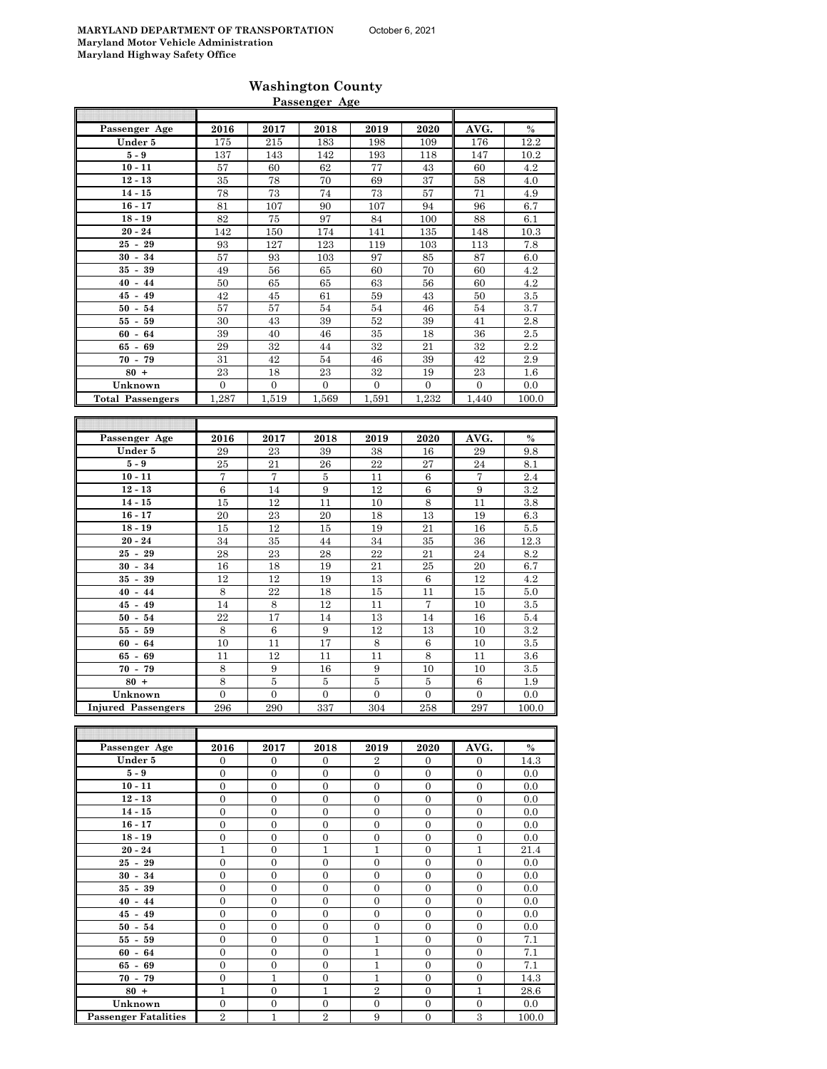äĪ.

Г

T

## **Washington County Passenger Age**

| Passenger Age               | 2016             | 2017             | 2018             | 2019             | 2020             | AVG.             | $\%$      |
|-----------------------------|------------------|------------------|------------------|------------------|------------------|------------------|-----------|
| Under 5                     | 175              | 215              | 183              | 198              | 109              | 176              | 12.2      |
| $5-9$                       | 137              | 143              | 142              | 193              | 118              | 147              | 10.2      |
| $10 - 11$                   |                  | 60               | 62               |                  | 43               |                  | 4.2       |
| $12 - 13$                   | 57               |                  |                  | 77               |                  | 60               |           |
|                             | 35               | 78               | 70               | 69               | 37               | 58               | 4.0       |
| $14 - 15$                   | 78               | 73               | 74               | 73               | 57               | 71               | 4.9       |
| $16 - 17$                   | 81               | 107              | 90               | 107              | 94               | 96               | 6.7       |
| $18 - 19$                   | 82               | 75               | 97               | 84               | 100              | 88               | 6.1       |
| $20 - 24$                   | 142              | 150              | 174              | 141              | 135              | 148              | 10.3      |
| $25 - 29$                   | 93               | 127              | 123              | 119              | 103              | 113              | 7.8       |
| $30 - 34$                   | 57               | 93               | 103              | 97               | 85               | 87               | 6.0       |
| $35 - 39$                   | 49               | 56               | 65               | 60               | 70               | 60               | 4.2       |
| $40 - 44$                   | 50               | 65               | 65               | 63               | 56               | 60               | 4.2       |
| $45 - 49$                   | 42               | 45               | 61               | $\bf{59}$        | 43               | 50               | $3.5\,$   |
| $50 - 54$                   | 57               | 57               | 54               | 54               | 46               | 54               | 3.7       |
| $55 - 59$                   | 30               | 43               | 39               | 52               | 39               | 41               | 2.8       |
| $60 - 64$                   | 39               | 40               | 46               | 35               | 18               | 36               | $2.5\,$   |
| $65 - 69$                   | 29               | 32               | 44               | 32               | 21               | 32               | $2.2\,$   |
|                             |                  |                  |                  |                  |                  |                  |           |
| $70 - 79$                   | 31               | 42               | 54               | 46               | 39               | 42               | 2.9       |
| $80 +$                      | 23               | 18               | $\bf 23$         | $32\,$           | 19               | $\bf 23$         | 1.6       |
| Unknown                     | $\boldsymbol{0}$ | $\mathbf{0}$     | $\boldsymbol{0}$ | $\mathbf{0}$     | 0                | $\overline{0}$   | 0.0       |
| <b>Total Passengers</b>     | 1,287            | 1,519            | 1,569            | 1,591            | 1,232            | 1,440            | 100.0     |
|                             |                  |                  |                  |                  |                  |                  |           |
|                             |                  |                  |                  |                  |                  |                  |           |
| Passenger Age               | 2016             | 2017             | 2018             | 2019             | 2020             | AVG.             | $\%$      |
| Under 5                     | 29               | 23               | 39               | 38               | 16               | 29               | 9.8       |
| $5-9$                       | 25               | 21               | 26               | 22               | 27               | 24               | 8.1       |
| $10 - 11$                   | 7                | 7                | 5                | 11               | 6                | 7                | 2.4       |
| $12 - 13$                   | $\,6\,$          | 14               | $\overline{9}$   | 12               | $\sqrt{6}$       | $\boldsymbol{9}$ | $\!3.2\!$ |
| $14 - 15$                   | 15               | <sup>12</sup>    | 11               | 10               | 8                | 11               | 3.8       |
|                             |                  | 23               |                  |                  | 13               | 19               |           |
| $16 - 17$                   | 20               |                  | 20               | 18               |                  |                  | 6.3       |
| $18 - 19$                   | 15               | 12               | 15               | 19               | 21               | 16               | $5.5\,$   |
| $20 - 24$                   | 34               | 35               | 44               | 34               | 35               | 36               | 12.3      |
| $25 - 29$                   | 28               | 23               | 28               | $\overline{22}$  | 21               | 24               | 8.2       |
| $30 - 34$                   | 16               | 18               | 19               | 21               | 25               | 20               | 6.7       |
| $35 - 39$                   | 12               | 12               | 19               | 13               | $\,6$            | 12               | 4.2       |
| $40 - 44$                   | $\,8\,$          | 22               | 18               | 15               | 11               | 15               | 5.0       |
| $45 - 49$                   | 14               | 8                | 12               | 11               | 7                | 10               | 3.5       |
| $50 - 54$                   | 22               | 17               | 14               | 13               | 14               | 16               | 5.4       |
| $55 - 59$                   | $\,8\,$          | 6                | 9                | 12               | 13               | 10               | 3.2       |
| $60 - 64$                   | 10               | 11               | 17               | $\,8\,$          | 6                | 10               | $3.5\,$   |
| $65 - 69$                   | 11               | 12               | 11               | 11               | 8                | 11               | $3.6\,$   |
| $70 - 79$                   | 8                | 9                | 16               | 9                | $10\,$           | 10               | 3.5       |
| $80 +$                      | 8                | 5                | 5                | 5                | 5                | 6                | 1.9       |
|                             |                  |                  |                  |                  |                  |                  |           |
| Unknown                     | 0                | 0                | $\boldsymbol{0}$ | $\boldsymbol{0}$ | $\boldsymbol{0}$ | $\boldsymbol{0}$ | 0.0       |
| <b>Injured Passengers</b>   | 296              | 290              | 337              | 304              | 258              | 297              | 100.0     |
|                             |                  |                  |                  |                  |                  |                  |           |
|                             |                  |                  |                  |                  |                  |                  |           |
| Passenger Age               | 2016             | 2017             | 2018             | 2019             | 2020             | AVG.             | $\%$      |
| Under 5                     | 0                | 0                | 0                | $\overline{2}$   | 0                | 0                | 14.3      |
| $5-9$                       | $\overline{0}$   | $\overline{0}$   | $\overline{0}$   | $\overline{0}$   | $\overline{0}$   | $\overline{0}$   | 0.0       |
| $10 - 11$                   | 0                | 0                | $\boldsymbol{0}$ | $\boldsymbol{0}$ | $\boldsymbol{0}$ | 0                | 0.0       |
| $12 - 13$                   | $\boldsymbol{0}$ | 0                | $\boldsymbol{0}$ | $\boldsymbol{0}$ | $\boldsymbol{0}$ | 0                | 0.0       |
| $14 - 15$                   | $\boldsymbol{0}$ | $\boldsymbol{0}$ | $\boldsymbol{0}$ | $\mathbf{0}$     | $\boldsymbol{0}$ | $\boldsymbol{0}$ | 0.0       |
| $16 - 17$                   | $\mathbf{0}$     | 0                | $\mathbf{0}$     | 0                | 0                | 0                | 0.0       |
| $18 - 19$                   | $\boldsymbol{0}$ | $\boldsymbol{0}$ | $\boldsymbol{0}$ | $\boldsymbol{0}$ | $\boldsymbol{0}$ | $\boldsymbol{0}$ | 0.0       |
| $20 - 24$                   | $\mathbf{1}$     | $\boldsymbol{0}$ | $\mathbf{1}$     | $\mathbf{1}$     | $\boldsymbol{0}$ | $\mathbf{1}$     | 21.4      |
| $25 - 29$                   | $\boldsymbol{0}$ | 0                | $\boldsymbol{0}$ | $\boldsymbol{0}$ | $\boldsymbol{0}$ | 0                | 0.0       |
| $30 - 34$                   | $\overline{0}$   | $\boldsymbol{0}$ | $\boldsymbol{0}$ | $\boldsymbol{0}$ | $\boldsymbol{0}$ | 0                | 0.0       |
| $35 - 39$                   | 0                | $\boldsymbol{0}$ | $\boldsymbol{0}$ | $\boldsymbol{0}$ | 0                | 0                | 0.0       |
| $40 - 44$                   |                  |                  |                  |                  |                  |                  |           |
|                             | 0                | $\boldsymbol{0}$ | $\boldsymbol{0}$ | $\boldsymbol{0}$ | $\boldsymbol{0}$ | $\boldsymbol{0}$ | 0.0       |
| $45 - 49$                   | $\boldsymbol{0}$ | 0                | $\boldsymbol{0}$ | $\boldsymbol{0}$ | 0                | 0                | 0.0       |
| $50 - 54$                   | 0                | $\overline{0}$   | $\overline{0}$   | $\mathbf{0}$     | $\overline{0}$   | $\overline{0}$   | 0.0       |
| $55 - 59$                   | 0                | 0                | $\boldsymbol{0}$ | $\mathbf{1}$     | $\boldsymbol{0}$ | 0                | 7.1       |
| $60 - 64$                   | $\boldsymbol{0}$ | 0                | $\boldsymbol{0}$ | $\mathbf{1}$     | $\boldsymbol{0}$ | 0                | 7.1       |
| $65 - 69$                   | $\boldsymbol{0}$ | 0                | $\boldsymbol{0}$ | $\mathbf{1}$     | $\boldsymbol{0}$ | 0                | 7.1       |
| $70 - 79$                   | $\boldsymbol{0}$ | 1                | $\boldsymbol{0}$ | $\mathbf{1}$     | $\boldsymbol{0}$ | $\boldsymbol{0}$ | 14.3      |
| $80 +$                      | $\mathbf{1}$     | $\boldsymbol{0}$ | $\mathbf{1}$     | $\overline{2}$   | $\boldsymbol{0}$ | $\mathbf{1}$     | 28.6      |
| Unknown                     | $\boldsymbol{0}$ | 0                | $\boldsymbol{0}$ | $\mathbf{0}$     | 0                | 0                | $0.0\,$   |
| <b>Passenger Fatalities</b> | $\overline{2}$   | 1                | $\overline{2}$   | 9                | $\boldsymbol{0}$ | 3                | 100.0     |

**Passenger Fatalities**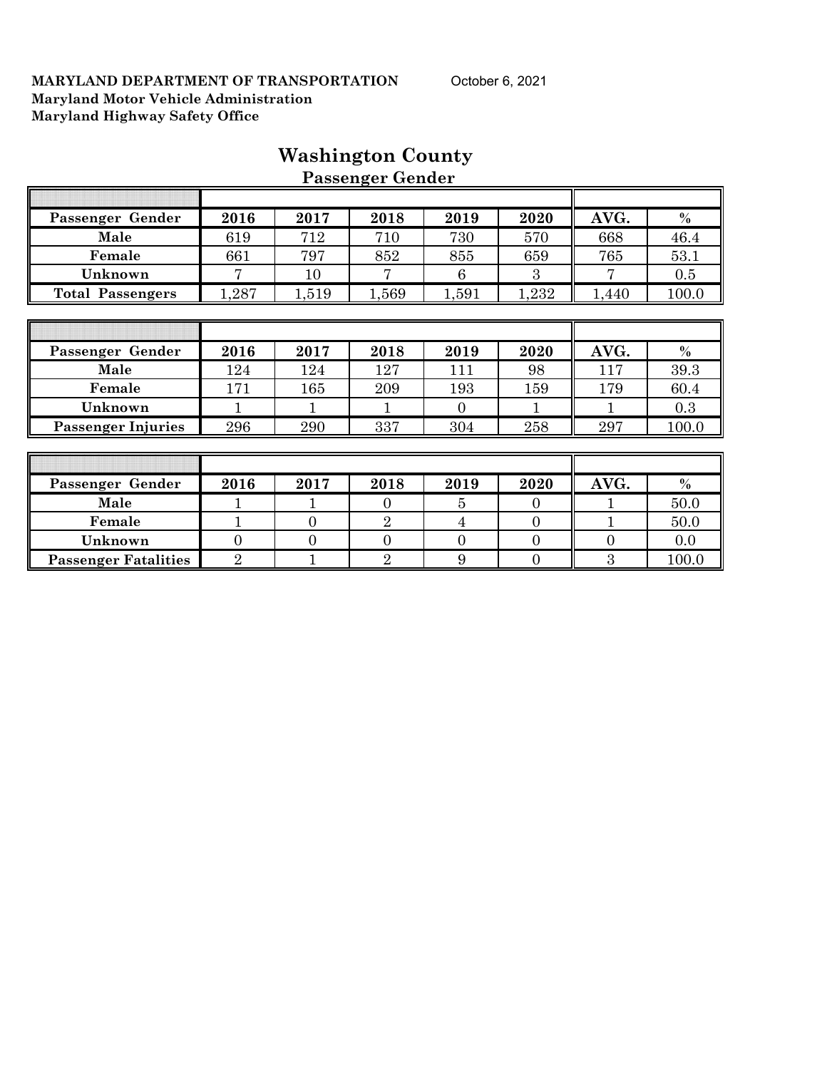|                             |                |                | <b>Passenger Gender</b> |                |                |          |               |
|-----------------------------|----------------|----------------|-------------------------|----------------|----------------|----------|---------------|
|                             |                |                |                         |                |                |          |               |
| Passenger Gender            | 2016           | 2017           | 2018                    | 2019           | 2020           | AVG.     | $\%$          |
| Male                        | 619            | 712            | 710                     | 730            | 570            | 668      | 46.4          |
| Female                      | 661            | 797            | 852                     | 855            | 659            | 765      | 53.1          |
| Unknown                     | 7              | 10             | 7                       | 6              | 3              |          | 0.5           |
| <b>Total Passengers</b>     | 1,287          | 1,519          | 1,569                   | 1,591          | 1,232          | 1,440    | 100.0         |
|                             |                |                |                         |                |                |          |               |
|                             |                |                |                         |                |                |          |               |
| Passenger Gender            | 2016           | 2017           | 2018                    | 2019           | 2020           | AVG.     | $\%$          |
| Male                        | 124            | 124            | 127                     | 111            | 98             | 117      | 39.3          |
| Female                      | 171            | 165            | 209                     | 193            | 159            | 179      | 60.4          |
| Unknown                     | 1              | 1              | 1                       | $\Omega$       | 1              | 1        | 0.3           |
| <b>Passenger Injuries</b>   | 296            | 290            | 337                     | 304            | 258            | 297      | 100.0         |
|                             |                |                |                         |                |                |          |               |
|                             |                |                |                         |                |                |          |               |
| Passenger Gender            | 2016           | 2017           | 2018                    | 2019           | 2020           | AVG.     | $\frac{0}{0}$ |
| Male                        |                |                | $\Omega$                | 5              | $\overline{0}$ |          | 50.0          |
| Female                      | 1              | $\overline{0}$ | $\overline{2}$          | $\overline{4}$ | $\overline{0}$ | 1        | 50.0          |
| Unknown                     | $\overline{0}$ | $\overline{0}$ | $\overline{0}$          | $\overline{0}$ | $\overline{0}$ | $\Omega$ | 0.0           |
| <b>Passenger Fatalities</b> | $\overline{2}$ |                | $\overline{2}$          | 9              | $\overline{0}$ | 3        | 100.0         |

# **Washington County**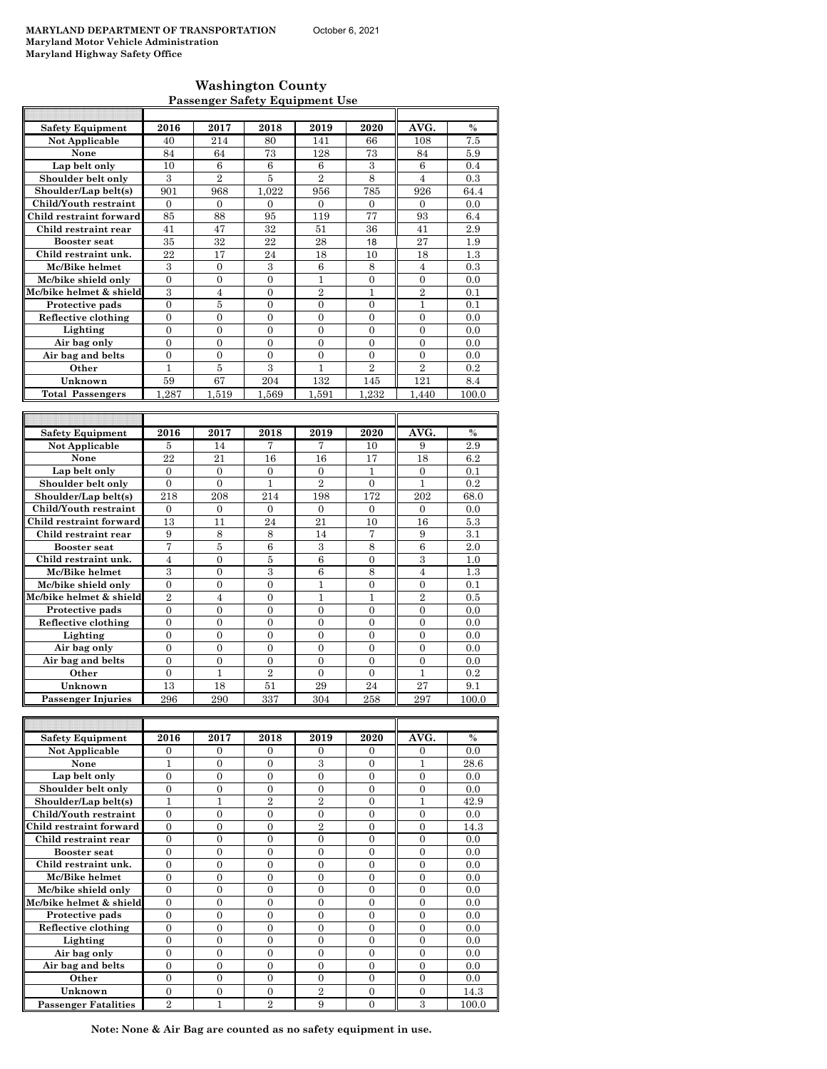## **Washington County Passenger Safety Equipment Use**

| <b>Safety Equipment</b> | 2016             | 2017           | 2018           | 2019             | 2020           | AVG.           | %             |
|-------------------------|------------------|----------------|----------------|------------------|----------------|----------------|---------------|
| <b>Not Applicable</b>   | 40               | 214            | 80             | 141              | 66             | 108            | 7.5           |
| None                    | 84               | 64             | 73             | 128              | 73             | 84             | 5.9           |
| Lap belt only           | 10               | 6              | 6              | 6                | 3              | 6              | 0.4           |
| Shoulder belt only      | 3                | $\overline{2}$ | 5              | $\overline{2}$   | 8              | $\overline{4}$ | 0.3           |
| Shoulder/Lap belt(s)    | 901              | 968            | 1.022          | 956              | 785            | 926            | 64.4          |
| Child/Youth restraint   | $\theta$         | $\Omega$       | $\Omega$       | $\mathbf{0}$     | $\overline{0}$ | $\overline{0}$ | 0.0           |
| Child restraint forward | 85               | 88             | 95             | 119              | 77             | 93             | 6.4           |
| Child restraint rear    | 41               | 47             | 32             | 51               | 36             | 41             | 2.9           |
| <b>Booster seat</b>     | 35               | 32             | 22             | 28               | 18             | 27             | 1.9           |
| Child restraint unk.    | 22               | 17             | 24             | 18               | 10             | 18             | 1.3           |
| Mc/Bike helmet          | 3                | $\Omega$       | 3              | 6                | 8              | 4              | 0.3           |
| Mc/bike shield only     | $\overline{0}$   | $\overline{0}$ | $\overline{0}$ | 1                | $\overline{0}$ | $\overline{0}$ | 0.0           |
| Mc/bike helmet & shield | 3                | $\overline{4}$ | $\overline{0}$ | $\overline{2}$   | 1              | $\overline{2}$ | 0.1           |
| Protective pads         | $\overline{0}$   | 5              | $\overline{0}$ | $\overline{0}$   | $\overline{0}$ | $\mathbf{1}$   | 0.1           |
| Reflective clothing     | $\overline{0}$   | $\theta$       | $\Omega$       | $\mathbf{0}$     | $\Omega$       | $\Omega$       | 0.0           |
| Lighting                | $\overline{0}$   | $\overline{0}$ | $\overline{0}$ | $\mathbf{0}$     | $\mathbf{0}$   | $\overline{0}$ | 0.0           |
| Air bag only            | $\Omega$         | $\Omega$       | $\Omega$       | $\Omega$         | $\theta$       | $\Omega$       | 0.0           |
| Air bag and belts       | $\theta$         | $\theta$       | $\theta$       | $\overline{0}$   | $\theta$       | $\theta$       | 0.0           |
| Other                   | $\mathbf{1}$     | 5              | $\overline{3}$ | 1                | $\overline{2}$ | $\overline{2}$ | 0.2           |
| Unknown                 | 59               | 67             | 204            | 132              | 145            | 121            | 8.4           |
| <b>Total Passengers</b> | 1.287            | 1.519          | 1.569          | 1.591            | 1.232          | 1.440          | 100.0         |
|                         |                  |                |                |                  |                |                |               |
|                         |                  |                |                |                  |                |                |               |
|                         |                  |                |                |                  |                |                |               |
| <b>Safety Equipment</b> | 2016             | 2017           | 2018           | 2019             | 2020           | AVG.           | $\frac{0}{0}$ |
| <b>Not Applicable</b>   | 5                | 14             | 7              | 7                | 10             | 9              | 2.9           |
| None                    | 22               | 21             | 16             | 16               | 17             | 18             | 6.2           |
| Lap belt only           | $\overline{0}$   | $\overline{0}$ | $\overline{0}$ | $\mathbf{0}$     | 1              | $\overline{0}$ | 0.1           |
| Shoulder belt only      | $\overline{0}$   | $\overline{0}$ | $\mathbf{1}$   | $\overline{2}$   | $\overline{0}$ | $\mathbf{1}$   | 0.2           |
| Shoulder/Lap belt(s)    | 218              | 208            | 214            | 198              | 172            | 202            | 68.0          |
| Child/Youth restraint   | $\boldsymbol{0}$ | $\overline{0}$ | $\mathbf{0}$   | $\boldsymbol{0}$ | $\mathbf{0}$   | $\overline{0}$ | 0.0           |
| Child restraint forward | 13               | 11             | 24             | 21               | 10             | 16             | 5.3           |
| Child restraint rear    | 9                | 8              | 8              | 14               | 7              | 9              | 3.1           |
| <b>Booster seat</b>     | 7                | 5              | 6              | 3                | 8              | 6              | 2.0           |
| Child restraint unk.    | $\overline{4}$   | $\theta$       | 5              | 6                | $\theta$       | 3              | 1.0           |
| Mc/Bike helmet          | 3                | $\theta$       | 3              | 6                | 8              | 4              | 1.3           |
| Mc/bike shield only     | $\overline{0}$   | $\overline{0}$ | $\overline{0}$ | $\mathbf{1}$     | $\overline{0}$ | $\overline{0}$ | 0.1           |
| Mc/bike helmet & shield | $\overline{2}$   | $\overline{4}$ | $\overline{0}$ | $\mathbf{1}$     | $\mathbf{1}$   | $\overline{2}$ | 0.5           |
| Protective pads         | $\overline{0}$   | $\overline{0}$ | $\overline{0}$ | $\overline{0}$   | $\overline{0}$ | $\overline{0}$ | 0.0           |
| Reflective clothing     | $\overline{0}$   | $\overline{0}$ | $\overline{0}$ | $\overline{0}$   | $\overline{0}$ | $\overline{0}$ | 0.0           |
| Lighting                | $\overline{0}$   | $\theta$       | $\theta$       | $\overline{0}$   | $\theta$       | $\overline{0}$ | 0.0           |
| Air bag only            | $\overline{0}$   | $\overline{0}$ | $\overline{0}$ | $\mathbf{0}$     | $\overline{0}$ | $\overline{0}$ | 0.0           |
| Air bag and belts       | $\overline{0}$   | $\overline{0}$ | $\overline{0}$ | $\overline{0}$   | $\overline{0}$ | $\overline{0}$ | 0.0           |
| Other                   | $\theta$         | $\mathbf{1}$   | $\overline{2}$ | $\theta$         | $\theta$       | 1              | 0.2           |
| Unknown                 | 13               | 18             | 51             | 29               | 24             | 27             | 9.1           |

| <b>Safety Equipment</b>     | 2016           | 2017     | 2018           | 2019           | 2020     | AVG.     | $\frac{0}{0}$ |
|-----------------------------|----------------|----------|----------------|----------------|----------|----------|---------------|
| Not Applicable              | $\Omega$       | $\Omega$ | $\Omega$       | $\Omega$       | $\Omega$ | $\Omega$ | 0.0           |
| None                        |                | $\Omega$ | 0              | 3              | $\Omega$ |          | 28.6          |
| Lap belt only               | $\theta$       | $\Omega$ | 0              | $\Omega$       | $\theta$ | $\Omega$ | 0.0           |
| Shoulder belt only          | $\Omega$       | $\Omega$ | $\Omega$       | $\Omega$       | $\Omega$ | $\Omega$ | 0.0           |
| Shoulder/Lap belt(s)        | 1              |          | $\overline{2}$ | $\overline{2}$ | $\Omega$ |          | 42.9          |
| Child/Youth restraint       | $\Omega$       | $\theta$ | $\theta$       | $\theta$       | $\Omega$ | $\Omega$ | 0.0           |
| Child restraint forward     | $\theta$       | $\Omega$ | $\Omega$       | $\overline{2}$ | $\Omega$ | $\Omega$ | 14.3          |
| Child restraint rear        | $\theta$       | $\Omega$ | $\theta$       | $\theta$       | $\theta$ | $\Omega$ | 0.0           |
| <b>Booster seat</b>         | $\Omega$       | $\Omega$ | $\Omega$       | $\Omega$       | $\theta$ | $\Omega$ | 0.0           |
| Child restraint unk.        | $\theta$       | 0        | 0              | 0              | $\theta$ | $\Omega$ | 0.0           |
| Mc/Bike helmet              | $\theta$       | $\Omega$ | $\Omega$       | 0              | $\Omega$ | $\Omega$ | 0.0           |
| Mc/bike shield only         | $\theta$       | $\Omega$ | $\Omega$       | $\Omega$       | $\theta$ | $\Omega$ | 0.0           |
| Mc/bike helmet & shield     | $\theta$       | $\Omega$ | $\Omega$       | $\Omega$       | $\Omega$ | $\Omega$ | 0.0           |
| Protective pads             | $\theta$       | $\Omega$ | $\Omega$       | $\Omega$       | $\theta$ | $\Omega$ | 0.0           |
| Reflective clothing         | $\theta$       | $\Omega$ | 0              | $\Omega$       | $\theta$ | $\Omega$ | 0.0           |
| Lighting                    | $\theta$       | $\Omega$ | 0              | $\Omega$       | $\theta$ | $\Omega$ | 0.0           |
| Air bag only                | $\Omega$       | $\Omega$ | $\Omega$       | $\Omega$       | $\Omega$ | $\Omega$ | 0.0           |
| Air bag and belts           | $\theta$       | $\Omega$ | $\Omega$       | $\Omega$       | $\Omega$ | $\Omega$ | 0.0           |
| Other                       | $\Omega$       | $\Omega$ | $\Omega$       | 0              | $\theta$ | $\Omega$ | 0.0           |
| Unknown                     | $\Omega$       | $\Omega$ | $\Omega$       | $\overline{2}$ | $\Omega$ | $\Omega$ | 14.3          |
| <b>Passenger Fatalities</b> | $\overline{2}$ |          | $\overline{2}$ | 9              | $\theta$ | 3        | 100.0         |

**Note: None & Air Bag are counted as no safety equipment in use.**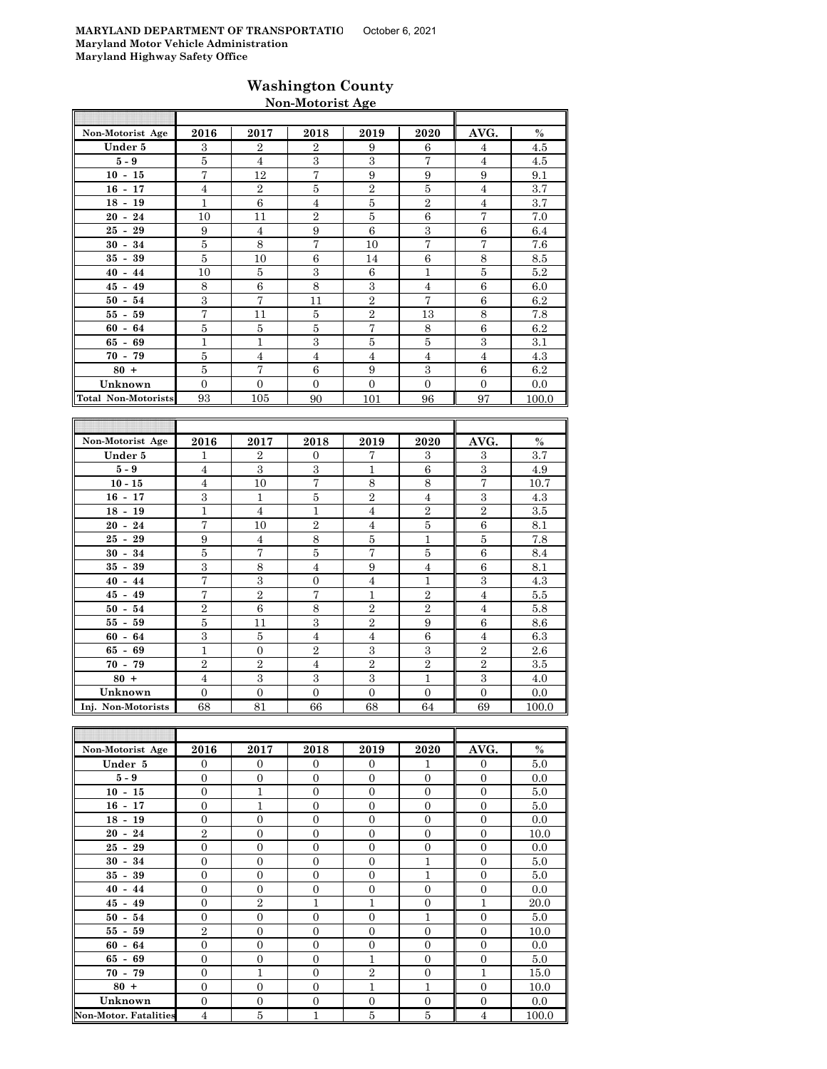## **Washington County Non-Motorist Age**

| Non-Motorist Age    | 2016           | 2017           | 2018           | 2019           | 2020           | AVG.           | $\%$  |
|---------------------|----------------|----------------|----------------|----------------|----------------|----------------|-------|
| Under 5             | 3              | $\overline{2}$ | $\overline{2}$ | 9              | 6              | $\overline{4}$ | 4.5   |
| $5-9$               | 5              | $\overline{4}$ | 3              | 3              | 7              | $\overline{4}$ | 4.5   |
| $10 - 15$           | 7              | 12             | 7              | 9              | 9              | 9              | 9.1   |
| $16 - 17$           | $\overline{4}$ | $\overline{2}$ | 5              | $\overline{2}$ | 5              | $\overline{4}$ | 3.7   |
| $18 - 19$           | 1              | 6              | $\overline{4}$ | 5              | $\overline{2}$ | $\overline{4}$ | 3.7   |
| $20 - 24$           | 10             | 11             | $\overline{2}$ | 5              | 6              | $\overline{7}$ | 7.0   |
| $25 - 29$           | 9              | $\overline{4}$ | 9              | 6              | 3              | 6              | 6.4   |
| $30 - 34$           | 5              | 8              | 7              | 10             | $\overline{7}$ | $\overline{7}$ | 7.6   |
| $35 - 39$           | 5              | 10             | 6              | 14             | 6              | 8              | 8.5   |
| $40 - 44$           | 10             | 5              | 3              | 6              | 1              | 5              | 5.2   |
| $45 - 49$           | 8              | 6              | 8              | 3              | $\overline{4}$ | 6              | 6.0   |
| $50 - 54$           | 3              | 7              | 11             | $\overline{2}$ | 7              | 6              | 6.2   |
| $55 - 59$           | 7              | 11             | 5              | $\overline{2}$ | 13             | 8              | 7.8   |
| $60 - 64$           | 5              | 5              | 5              | $\overline{7}$ | 8              | 6              | 6.2   |
| $65 - 69$           | 1              | $\mathbf{1}$   | 3              | 5              | 5              | 3              | 3.1   |
| $70 - 79$           | 5              | $\overline{4}$ | $\overline{4}$ | $\overline{4}$ | $\overline{4}$ | $\overline{4}$ | 4.3   |
| $80 +$              | 5              | 7              | 6              | 9              | 3              | 6              | 6.2   |
| Unknown             | $\Omega$       | $\Omega$       | $\Omega$       | $\Omega$       | $\Omega$       | $\Omega$       | 0.0   |
| Total Non-Motorists | 93             | 105            | 90             | 101            | 96             | 97             | 100.0 |

| Non-Motorist Age   | 2016           | 2017           | 2018           | 2019           | 2020           | AVG.           | $\%$    |
|--------------------|----------------|----------------|----------------|----------------|----------------|----------------|---------|
| Under 5            | $\mathbf{1}$   | $\overline{2}$ | $\Omega$       | 7              | 3              | 3              | 3.7     |
| $5-9$              | $\overline{4}$ | 3              | 3              | 1              | 6              | 3              | 4.9     |
| $10 - 15$          | $\overline{4}$ | 10             | 7              | 8              | 8              | 7              | 10.7    |
| $16 - 17$          | 3              | $\mathbf{1}$   | 5              | $\overline{2}$ | $\overline{4}$ | 3              | 4.3     |
| $18 - 19$          | $\mathbf 1$    | $\overline{4}$ | 1              | $\overline{4}$ | $\overline{2}$ | $\overline{2}$ | $3.5\,$ |
| $20 - 24$          | $\overline{7}$ | 10             | $\overline{2}$ | $\overline{4}$ | 5              | 6              | 8.1     |
| $25 - 29$          | 9              | $\overline{4}$ | 8              | 5              | 1              | 5              | 7.8     |
| $30 - 34$          | 5              | 7              | 5              | 7              | 5              | 6              | 8.4     |
| 39<br>$35 -$       | 3              | 8              | $\overline{4}$ | 9              | 4              | 6              | 8.1     |
| $40 - 44$          | 7              | 3              | $\overline{0}$ | $\overline{4}$ | 1              | 3              | 4.3     |
| $45 - 49$          | $\overline{7}$ | $\overline{2}$ | 7              | 1              | $\overline{2}$ | $\overline{4}$ | 5.5     |
| $50 - 54$          | $\overline{2}$ | 6              | 8              | $\overline{2}$ | $\overline{2}$ | $\overline{4}$ | 5.8     |
| $55-$<br>59        | 5              | 11             | 3              | $\overline{2}$ | 9              | 6              | 8.6     |
| $60 - 64$          | 3              | 5              | 4              | 4              | 6              | $\overline{4}$ | 6.3     |
| $65 - 69$          | $\mathbf{1}$   | $\theta$       | $\overline{2}$ | 3              | 3              | $\overline{2}$ | 2.6     |
| $70 - 79$          | $\overline{2}$ | $\overline{2}$ | 4              | $\overline{2}$ | $\overline{2}$ | $\overline{2}$ | 3.5     |
| $80 +$             | $\overline{4}$ | 3              | 3              | 3              | 1              | 3              | 4.0     |
| Unknown            | $\Omega$       | $\overline{0}$ | $\Omega$       | $\Omega$       | $\Omega$       | $\Omega$       | 0.0     |
| Inj. Non-Motorists | 68             | 81             | 66             | 68             | 64             | 69             | 100.0   |

| Non-Motorist Age             | 2016           | 2017           | 2018           | 2019           | 2020             | AVG.           | $\%$  |
|------------------------------|----------------|----------------|----------------|----------------|------------------|----------------|-------|
| Under 5                      | $\Omega$       | $\mathbf{0}$   | $\Omega$       | $\Omega$       | 1                | $\Omega$       | 5.0   |
| $5 - 9$                      | $\mathbf{0}$   | $\mathbf{0}$   | $\Omega$       | $\Omega$       | $\Omega$         | $\Omega$       | 0.0   |
| $10 - 15$                    | $\overline{0}$ | $\mathbf{1}$   | $\overline{0}$ | $\overline{0}$ | $\boldsymbol{0}$ | $\overline{0}$ | 5.0   |
| $16 - 17$                    | $\overline{0}$ | $\mathbf{1}$   | $\overline{0}$ | $\overline{0}$ | $\overline{0}$   | $\overline{0}$ | 5.0   |
| $18 - 19$                    | $\overline{0}$ | $\mathbf{0}$   | $\overline{0}$ | $\overline{0}$ | $\overline{0}$   | $\overline{0}$ | 0.0   |
| $20 - 24$                    | $\overline{2}$ | $\Omega$       | $\Omega$       | $\Omega$       | $\Omega$         | $\Omega$       | 10.0  |
| $25 - 29$                    | $\mathbf{0}$   | $\mathbf{0}$   | $\Omega$       | $\Omega$       | $\mathbf{0}$     | $\Omega$       | 0.0   |
| $30 - 34$                    | $\overline{0}$ | $\overline{0}$ | $\theta$       | $\Omega$       | 1                | $\Omega$       | 5.0   |
| $35 - 39$                    | $\overline{0}$ | $\overline{0}$ | $\overline{0}$ | $\overline{0}$ | 1                | $\overline{0}$ | 5.0   |
| $40 - 44$                    | $\overline{0}$ | $\overline{0}$ | $\overline{0}$ | $\overline{0}$ | $\overline{0}$   | $\overline{0}$ | 0.0   |
| $45 - 49$                    | $\Omega$       | $\overline{2}$ | $\mathbf{1}$   | 1              | $\mathbf{0}$     | 1              | 20.0  |
| $50 - 54$                    | $\overline{0}$ | $\mathbf{0}$   | $\overline{0}$ | $\overline{0}$ | 1                | $\overline{0}$ | 5.0   |
| $55 - 59$                    | $\overline{2}$ | $\mathbf{0}$   | $\overline{0}$ | $\overline{0}$ | $\overline{0}$   | $\overline{0}$ | 10.0  |
| $60 - 64$                    | $\mathbf{0}$   | $\overline{0}$ | $\mathbf{0}$   | $\overline{0}$ | $\overline{0}$   | $\overline{0}$ | 0.0   |
| $65 - 69$                    | $\overline{0}$ | $\overline{0}$ | $\overline{0}$ | $\mathbf{1}$   | $\overline{0}$   | $\overline{0}$ | 5.0   |
| $70 - 79$                    | $\overline{0}$ | $\mathbf{1}$   | $\overline{0}$ | $\overline{2}$ | $\mathbf{0}$     | $\mathbf{1}$   | 15.0  |
| $80 +$                       | $\overline{0}$ | $\mathbf{0}$   | $\Omega$       | $\mathbf{1}$   | 1                | $\Omega$       | 10.0  |
| Unknown                      | $\overline{0}$ | $\mathbf{0}$   | $\overline{0}$ | $\overline{0}$ | $\overline{0}$   | $\overline{0}$ | 0.0   |
| <b>Non-Motor. Fatalities</b> | $\overline{4}$ | 5              | 1              | 5              | $\overline{5}$   | $\overline{4}$ | 100.0 |

F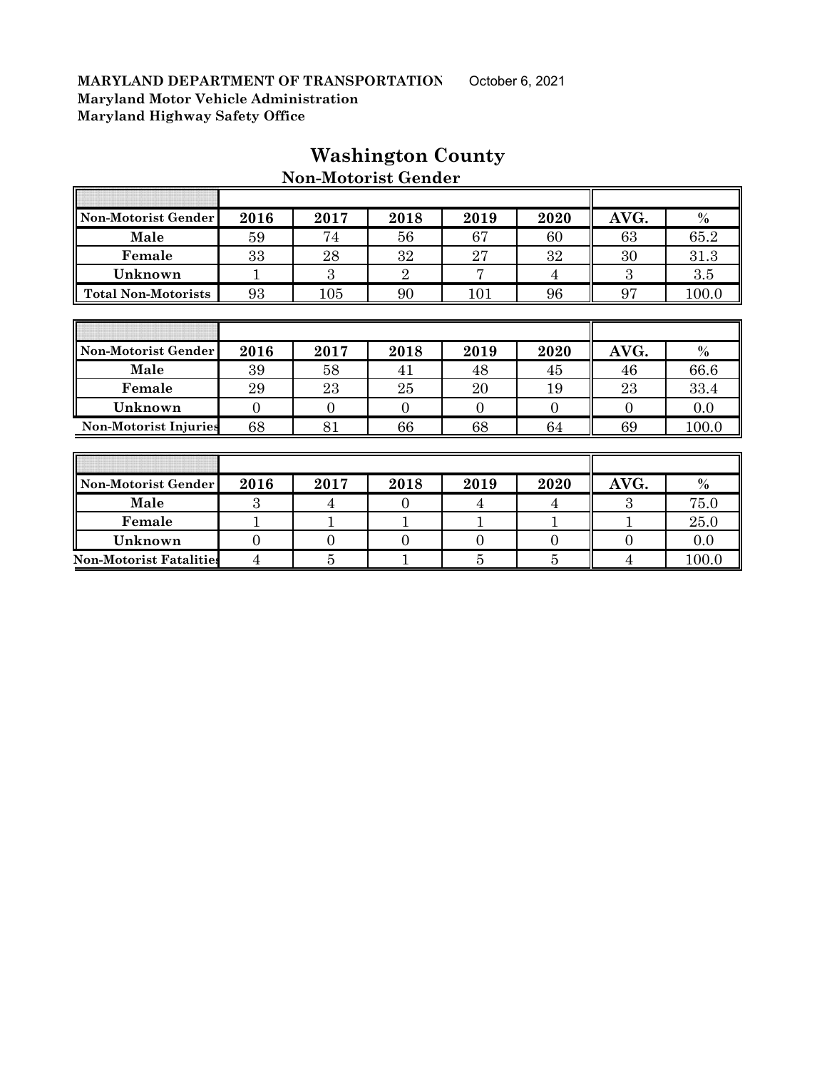$\overline{E}$ 

| Non-Motorist Gender          | 2016     | 2017     | 2018           | 2019 | 2020     | AVG.     | $\frac{0}{0}$ |
|------------------------------|----------|----------|----------------|------|----------|----------|---------------|
| Male                         | 59       | 74       | 56             | 67   | 60       | 63       | 65.2          |
| Female                       | 33       | 28       | 32             | 27   | 32       | 30       | 31.3          |
| Unknown                      | 1        | 3        | $\overline{2}$ | 7    | 4        | 3        | 3.5           |
| <b>Total Non-Motorists</b>   | 93       | 105      | 90             | 101  | 96       | 97       | 100.0         |
|                              |          |          |                |      |          |          |               |
|                              |          |          |                |      |          |          |               |
|                              |          |          |                |      |          |          |               |
| Non-Motorist Gender          | 2016     | 2017     | 2018           | 2019 | 2020     | AVG.     | $\%$          |
| Male                         | 39       | 58       | 41             | 48   | 45       | 46       | 66.6          |
| Female                       | 29       | 23       | 25             | 20   | 19       | 23       | 33.4          |
| Unknown                      | $\Omega$ | $\Omega$ | $\theta$       | 0    | $\Omega$ | $\Omega$ | 0.0           |
| <b>Non-Motorist Injuries</b> | 68       | 81       | 66             | 68   | 64       | 69       | 100.0         |
|                              |          |          |                |      |          |          |               |
|                              |          |          |                |      |          |          |               |

## **Washington County Non-Motorist Gender**

 $\overline{\mathbb{T}}$ 

╗

| Non-Motorist Gender            | 2016 | 2017 | 2018 | 2019 | 2020 | AVG. | $\%$ |
|--------------------------------|------|------|------|------|------|------|------|
| Male                           |      |      |      |      |      |      | 75.0 |
| Female                         |      |      |      |      |      |      | 25.0 |
| Unknown                        |      |      |      |      |      |      | 0.0  |
| <b>Non-Motorist Fatalities</b> |      |      |      |      |      |      | 100. |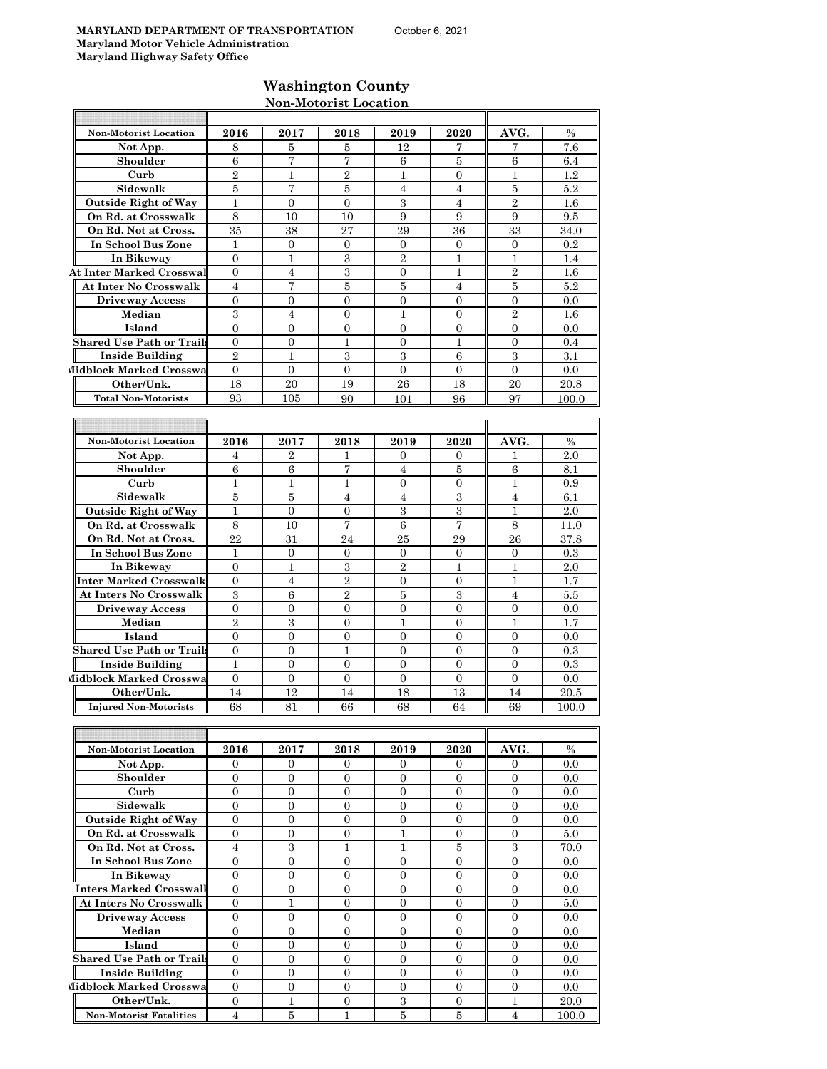### **Washington County Non-Motorist Location**

| <b>Non-Motorist Location</b>     | 2016             | 2017                | 2018                | 2019<br>12       | 2020             | AVG.<br>7        | $\%$       |
|----------------------------------|------------------|---------------------|---------------------|------------------|------------------|------------------|------------|
| Not App.<br>Shoulder             | 8<br>6           | 5<br>$\overline{7}$ | 5<br>$\overline{7}$ | 6                | 7<br>5           | 6                | 7.6<br>6.4 |
| Curb                             | $\overline{2}$   | 1                   | $\overline{2}$      | 1                | $\overline{0}$   | 1                | 1.2        |
| Sidewalk                         | 5                | 7                   | 5                   | $\overline{4}$   | $\overline{4}$   | 5                | 5.2        |
| <b>Outside Right of Way</b>      | $\mathbf{1}$     | $\overline{0}$      | $\overline{0}$      | 3                | $\overline{4}$   | $\overline{2}$   | 1.6        |
| On Rd. at Crosswalk              | 8                | 10                  | 10                  | 9                | 9                | 9                | 9.5        |
| On Rd. Not at Cross.             | 35               | 38                  | 27                  | 29               | 36               | 33               | 34.0       |
| In School Bus Zone               | $\mathbf{1}$     | $\overline{0}$      | $\overline{0}$      | $\mathbf{0}$     | $\overline{0}$   | $\overline{0}$   | 0.2        |
| In Bikeway                       | $\overline{0}$   | 1                   | 3                   | $\overline{2}$   | $\mathbf{1}$     | 1                | 1.4        |
| <b>At Inter Marked Crosswal</b>  | $\overline{0}$   | $\overline{4}$      | 3                   | $\overline{0}$   | 1                | $\overline{2}$   | $1.6\,$    |
| At Inter No Crosswalk            | $\overline{4}$   | 7                   | 5                   | $\overline{5}$   | $\overline{4}$   | $\bf 5$          | 5.2        |
| <b>Driveway Access</b>           | $\overline{0}$   | $\overline{0}$      | $\overline{0}$      | $\mathbf{0}$     | $\overline{0}$   | $\overline{0}$   | 0.0        |
| Median                           | 3                | $\overline{4}$      | $\overline{0}$      | $\mathbf{1}$     | $\overline{0}$   | $\overline{2}$   | 1.6        |
| Island                           | $\overline{0}$   | 0                   | 0                   | $\mathbf{0}$     | 0                | $\mathbf 0$      | 0.0        |
| <b>Shared Use Path or Trails</b> | $\mathbf{0}$     | $\overline{0}$      | $\mathbf{1}$        | $\mathbf{0}$     | 1                | $\overline{0}$   | 0.4        |
| <b>Inside Building</b>           | $\overline{2}$   | $\mathbf{1}$        | 3                   | 3                | 6                | 3                | 3.1        |
| Midblock Marked Crosswa          | $\overline{0}$   | $\overline{0}$      | $\overline{0}$      | $\mathbf{0}$     | $\overline{0}$   | $\theta$         | 0.0        |
| Other/Unk.                       | 18               | 20                  | 19                  | 26               | 18               | 20               | 20.8       |
| <b>Total Non-Motorists</b>       | 93               | 105                 | 90                  | 101              | 96               | 97               | 100.0      |
|                                  |                  |                     |                     |                  |                  |                  |            |
|                                  |                  |                     |                     |                  |                  |                  |            |
| <b>Non-Motorist Location</b>     | 2016             | 2017                | 2018                | 2019             | 2020             | AVG.             | $\%$       |
| Not App.                         | 4                | 2                   | 1                   | $\mathbf{0}$     | 0                | ı                | 2.0        |
| Shoulder                         | $\,6$            | $\,6$               | 7                   | $\overline{4}$   | 5                | 6                | 8.1        |
| Curb                             | 1                | $\mathbf{1}$        | $\mathbf{1}$        | $\overline{0}$   | $\overline{0}$   | 1                | 0.9        |
| Sidewalk                         | 5                | 5                   | $\overline{4}$      | $\overline{4}$   | 3                | $\overline{4}$   | 6.1        |
| <b>Outside Right of Way</b>      | $\mathbf{1}$     | $\overline{0}$      | $\overline{0}$      | $\,3$            | $\overline{3}$   | 1                | 2.0        |
| On Rd. at Crosswalk              | 8                | 10                  | 7                   | 6                | 7                | 8                | 11.0       |
| On Rd. Not at Cross.             | 22               | 31                  | 24                  | 25               | 29               | 26               | 37.8       |
| <b>In School Bus Zone</b>        | $\mathbf{1}$     | $\mathbf{0}$        | $\overline{0}$      | $\mathbf{0}$     | $\overline{0}$   | $\overline{0}$   | 0.3        |
| In Bikeway                       | $\overline{0}$   | $\mathbf{1}$        | $\sqrt{3}$          | $\sqrt{2}$       | $\mathbf{1}$     | 1                | 2.0        |
| Inter Marked Crosswalk           | $\boldsymbol{0}$ | $\overline{4}$      | $\overline{2}$      | $\mathbf{0}$     | 0                | 1                | 1.7        |
| <b>At Inters No Crosswalk</b>    | 3                | 6                   | $\overline{2}$      | 5                | 3                | 4                | 5.5        |
| <b>Driveway Access</b>           | $\overline{0}$   | $\overline{0}$      | $\overline{0}$      | $\overline{0}$   | $\overline{0}$   | $\overline{0}$   | 0.0        |
| Median                           | $\overline{2}$   | $\,3$               | $\overline{0}$      | $\mathbf{1}$     | $\overline{0}$   | $\mathbf{1}$     | 1.7        |
| Island                           | $\overline{0}$   | $\overline{0}$      | $\mathbf{0}$        | 0                | $\overline{0}$   | 0                | 0.0        |
| <b>Shared Use Path or Trails</b> | $\mathbf{0}$     | $\overline{0}$      | 1                   | $\mathbf{0}$     | $\overline{0}$   | $\mathbf{0}$     | 0.3        |
| <b>Inside Building</b>           | $\mathbf{1}$     | $\overline{0}$      | $\overline{0}$      | $\mathbf{0}$     | $\overline{0}$   | $\overline{0}$   | 0.3        |
| Midblock Marked Crosswa          | $\mathbf{0}$     | $\overline{0}$      | $\overline{0}$      | $\mathbf{0}$     | $\mathbf{0}$     | $\overline{0}$   | 0.0        |
| Other/Unk.                       | 14               | 12                  | 14                  | 18               | 13               | 14               | 20.5       |
| <b>Injured Non-Motorists</b>     | 68               | 81                  | 66                  | 68               | 64               | 69               | 100.0      |
|                                  |                  |                     |                     |                  |                  |                  |            |
|                                  |                  |                     |                     |                  |                  |                  |            |
| Non-Motorist Location            | 2016             | 2017                | 2018                | 2019             | 2020             | AVG.             | $\%$       |
| Not App.                         | $\mathbf{0}$     | $\overline{0}$      | 0                   | 0                | $\mathbf{0}$     | $\mathbf{0}$     | 0.0        |
| Shoulder                         | $\overline{0}$   | $\overline{0}$      | $\overline{0}$      | $\overline{0}$   | $\overline{0}$   | $\overline{0}$   | 0.0        |
| Curb                             | $\mathbf{0}$     | $\overline{0}$      | $\overline{0}$      | $\mathbf{0}$     | $\boldsymbol{0}$ | $\mathbf{0}$     | 0.0        |
| Sidewalk                         | $\mathbf{0}$     | $\mathbf{0}$        | $\overline{0}$      | $\boldsymbol{0}$ | $\boldsymbol{0}$ | $\mathbf{0}$     | 0.0        |
| <b>Outside Right of Way</b>      | 0                | 0                   | 0                   | $\overline{0}$   | $\overline{0}$   | $\overline{0}$   | 0.0        |
| On Rd. at Crosswalk              | $\boldsymbol{0}$ | $\mathbf{0}$        | $\mathbf{0}$        | $\mathbf{1}$     | $\boldsymbol{0}$ | $\boldsymbol{0}$ | 5.0        |
| On Rd. Not at Cross.             | $\overline{4}$   | $\,3$               | $\mathbf{1}$        | $\mathbf{1}$     | $\bf 5$          | $\,3$            | 70.0       |
| In School Bus Zone               | $\boldsymbol{0}$ | $\overline{0}$      | 0                   | $\mathbf{0}$     | $\boldsymbol{0}$ | $\boldsymbol{0}$ | 0.0        |
| In Bikeway                       | $\mathbf{0}$     | $\overline{0}$      | $\overline{0}$      | $\mathbf{0}$     | $\overline{0}$   | $\overline{0}$   | 0.0        |
| <b>Inters Marked Crosswall</b>   | $\mathbf{0}$     | $\mathbf{0}$        | $\mathbf{0}$        | $\mathbf{0}$     | $\boldsymbol{0}$ | $\mathbf{0}$     | 0.0        |
| At Inters No Crosswalk           | $\mathbf{0}$     | $\mathbf{1}$        | $\overline{0}$      | $\boldsymbol{0}$ | $\mathbf{0}$     | $\mathbf{0}$     | $5.0\,$    |
| <b>Driveway Access</b>           | $\overline{0}$   | $\overline{0}$      | $\overline{0}$      | $\mathbf{0}$     | $\boldsymbol{0}$ | 0                | 0.0        |
| Median                           | $\overline{0}$   | $\overline{0}$      | $\overline{0}$      | $\overline{0}$   | $\overline{0}$   | $\mathbf{0}$     | 0.0        |

**Island** 0 0 0 0 0 0 0.0

**Shared Use Path or Trails** 0 0 0 0 0 0 0.0 **Inside Building** 0 0 0 0 0 0 0.0 **Midblock Marked Crosswa** 0 0 0 0 0 0 0 0 0 0 0 0.0 **Other/Unk.** 0 1 1 0 3 0 1 20.0 **Non-Motorist Fatalities** 4 5 1 5 5 4 100.0